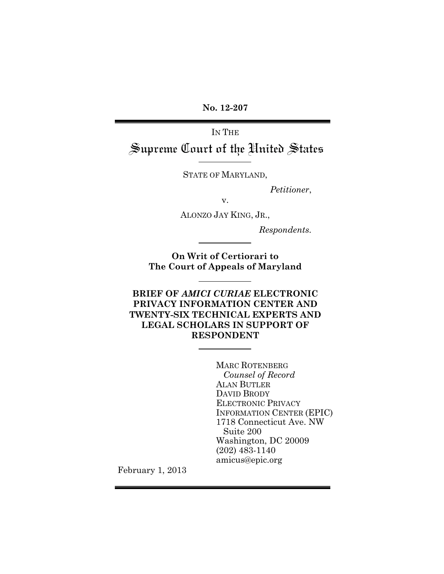**No. 12-207**

IN THE Supreme Court of the United States

STATE OF MARYLAND,

*Petitioner*,

v.

ALONZO JAY KING, JR.,

 *Respondents.*

**On Writ of Certiorari to The Court of Appeals of Maryland**

**BRIEF OF** *AMICI CURIAE* **ELECTRONIC PRIVACY INFORMATION CENTER AND TWENTY-SIX TECHNICAL EXPERTS AND LEGAL SCHOLARS IN SUPPORT OF RESPONDENT**

> MARC ROTENBERG *Counsel of Record* ALAN BUTLER DAVID BRODY ELECTRONIC PRIVACY INFORMATION CENTER (EPIC) 1718 Connecticut Ave. NW Suite 200 Washington, DC 20009 (202) 483-1140 amicus@epic.org

February 1, 2013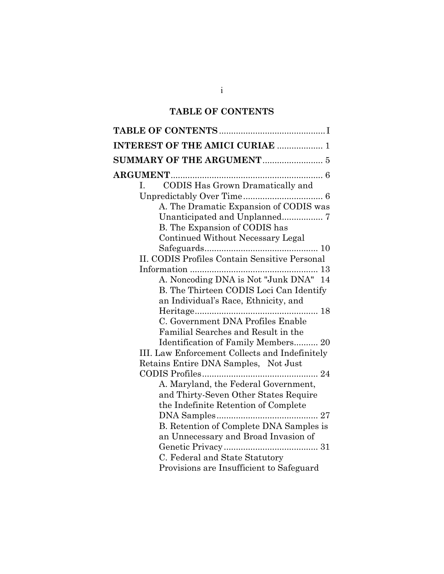# **TABLE OF CONTENTS**

| <b>INTEREST OF THE AMICI CURIAE  1</b>               |
|------------------------------------------------------|
|                                                      |
|                                                      |
| CODIS Has Grown Dramatically and<br>$\mathbf{I}$ .   |
|                                                      |
| A. The Dramatic Expansion of CODIS was               |
|                                                      |
| B. The Expansion of CODIS has                        |
| Continued Without Necessary Legal                    |
|                                                      |
| <b>II. CODIS Profiles Contain Sensitive Personal</b> |
|                                                      |
| A. Noncoding DNA is Not "Junk DNA" 14                |
| B. The Thirteen CODIS Loci Can Identify              |
| an Individual's Race, Ethnicity, and                 |
|                                                      |
| C. Government DNA Profiles Enable                    |
| Familial Searches and Result in the                  |
| Identification of Family Members 20                  |
| III. Law Enforcement Collects and Indefinitely       |
| Retains Entire DNA Samples, Not Just                 |
|                                                      |
| A. Maryland, the Federal Government,                 |
| and Thirty-Seven Other States Require                |
| the Indefinite Retention of Complete                 |
|                                                      |
| B. Retention of Complete DNA Samples is              |
| an Unnecessary and Broad Invasion of                 |
|                                                      |
| C. Federal and State Statutory                       |
| Provisions are Insufficient to Safeguard             |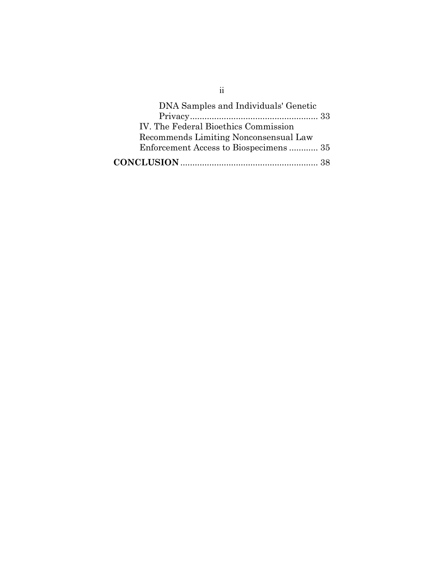| DNA Samples and Individuals' Genetic  |  |
|---------------------------------------|--|
|                                       |  |
| IV. The Federal Bioethics Commission  |  |
| Recommends Limiting Nonconsensual Law |  |
| Enforcement Access to Biospecimens 35 |  |
|                                       |  |

ii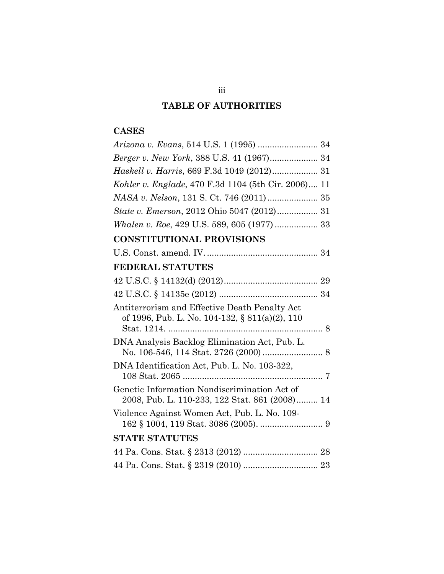# **TABLE OF AUTHORITIES**

# **CASES**

| Berger v. New York, 388 U.S. 41 (1967) 34                                                       |
|-------------------------------------------------------------------------------------------------|
| Haskell v. Harris, 669 F.3d 1049 (2012) 31                                                      |
| Kohler v. Englade, 470 F.3d 1104 (5th Cir. 2006) 11                                             |
|                                                                                                 |
| State v. Emerson, 2012 Ohio 5047 (2012) 31                                                      |
|                                                                                                 |
| <b>CONSTITUTIONAL PROVISIONS</b>                                                                |
|                                                                                                 |
| <b>FEDERAL STATUTES</b>                                                                         |
|                                                                                                 |
|                                                                                                 |
| Antiterrorism and Effective Death Penalty Act<br>of 1996, Pub. L. No. 104-132, § 811(a)(2), 110 |
| DNA Analysis Backlog Elimination Act, Pub. L.                                                   |
| DNA Identification Act, Pub. L. No. 103-322,                                                    |
| Genetic Information Nondiscrimination Act of<br>2008, Pub. L. 110-233, 122 Stat. 861 (2008) 14  |
| Violence Against Women Act, Pub. L. No. 109-                                                    |
| <b>STATE STATUTES</b>                                                                           |
|                                                                                                 |
|                                                                                                 |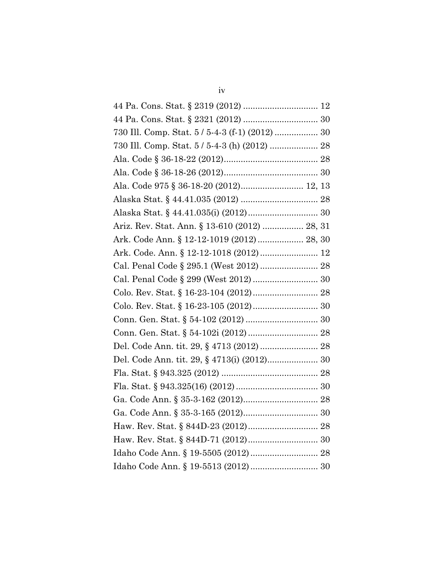| 730 Ill. Comp. Stat. 5 / 5-4-3 (f-1) (2012)  30 |  |
|-------------------------------------------------|--|
| 730 Ill. Comp. Stat. 5 / 5-4-3 (h) (2012)  28   |  |
|                                                 |  |
|                                                 |  |
| Ala. Code 975 § 36-18-20 (2012) 12, 13          |  |
|                                                 |  |
|                                                 |  |
| Ariz. Rev. Stat. Ann. § 13-610 (2012)  28, 31   |  |
| Ark. Code Ann. § 12-12-1019 (2012)  28, 30      |  |
|                                                 |  |
|                                                 |  |
|                                                 |  |
|                                                 |  |
|                                                 |  |
|                                                 |  |
|                                                 |  |
|                                                 |  |
| Del. Code Ann. tit. 29, § 4713(i) (2012) 30     |  |
|                                                 |  |
|                                                 |  |
|                                                 |  |
|                                                 |  |
|                                                 |  |
|                                                 |  |
|                                                 |  |
|                                                 |  |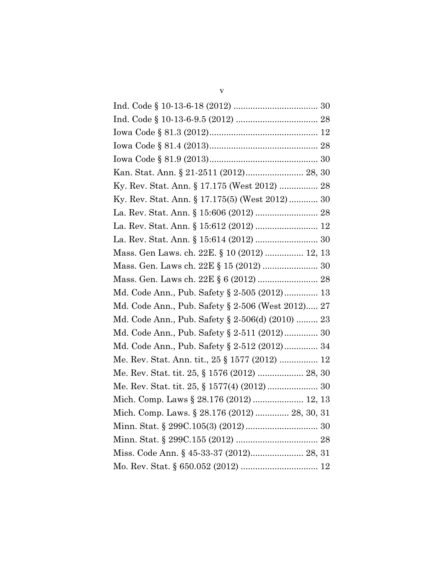| Kan. Stat. Ann. § 21-2511 (2012) 28, 30           |
|---------------------------------------------------|
| Ky. Rev. Stat. Ann. § 17.175 (West 2012)  28      |
| Ky. Rev. Stat. Ann. § 17.175(5) (West 2012) 30    |
|                                                   |
|                                                   |
|                                                   |
| Mass. Gen Laws. ch. 22E. § 10 (2012)  12, 13      |
| Mass. Gen. Laws ch. 22E § 15 (2012)  30           |
|                                                   |
| Md. Code Ann., Pub. Safety § 2-505 (2012) 13      |
| Md. Code Ann., Pub. Safety § 2-506 (West 2012) 27 |
| Md. Code Ann., Pub. Safety § 2-506(d) (2010)  23  |
| Md. Code Ann., Pub. Safety § 2-511 (2012) 30      |
| Md. Code Ann., Pub. Safety § 2-512 (2012) 34      |
| Me. Rev. Stat. Ann. tit., 25 § 1577 (2012)  12    |
| Me. Rev. Stat. tit. 25, § 1576 (2012)  28, 30     |
| Me. Rev. Stat. tit. 25, § 1577(4) (2012)  30      |
|                                                   |
| Mich. Comp. Laws. § 28.176 (2012)  28, 30, 31     |
|                                                   |
|                                                   |
| Miss. Code Ann. § 45-33-37 (2012) 28, 31          |
|                                                   |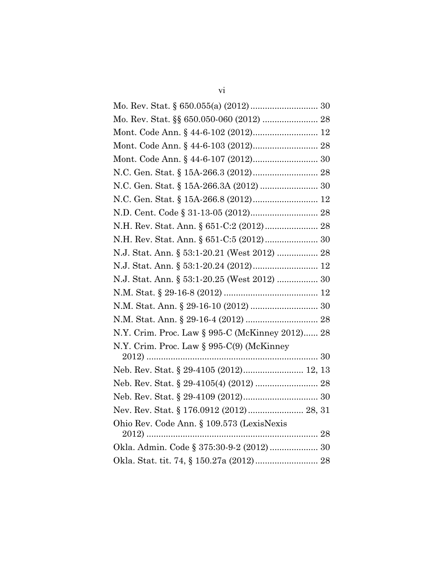| Mo. Rev. Stat. §§ 650.050-060 (2012)  28        |
|-------------------------------------------------|
|                                                 |
|                                                 |
|                                                 |
|                                                 |
|                                                 |
|                                                 |
|                                                 |
| N.H. Rev. Stat. Ann. § 651-C:2 (2012) 28        |
|                                                 |
| N.J. Stat. Ann. § 53:1-20.21 (West 2012)  28    |
|                                                 |
| N.J. Stat. Ann. § 53:1-20.25 (West 2012)  30    |
|                                                 |
|                                                 |
|                                                 |
| N.Y. Crim. Proc. Law § 995-C (McKinney 2012) 28 |
| N.Y. Crim. Proc. Law § 995-C(9) (McKinney       |
|                                                 |
| Neb. Rev. Stat. § 29-4105 (2012) 12, 13         |
|                                                 |
|                                                 |
|                                                 |
| Ohio Rev. Code Ann. § 109.573 (LexisNexis       |
|                                                 |
| Okla. Admin. Code § 375:30-9-2 (2012) 30        |
|                                                 |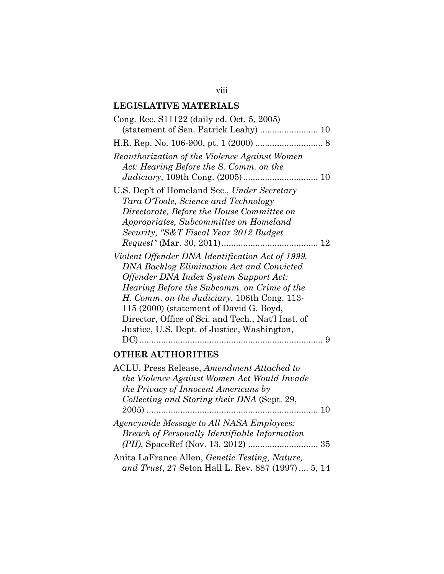# **LEGISLATIVE MATERIALS**

| Cong. Rec. S11122 (daily ed. Oct. 5, 2005)         |
|----------------------------------------------------|
| (statement of Sen. Patrick Leahy)  10              |
|                                                    |
| Reauthorization of the Violence Against Women      |
| Act: Hearing Before the S. Comm. on the            |
| U.S. Dep't of Homeland Sec., Under Secretary       |
| Tara O'Toole, Science and Technology               |
| Directorate, Before the House Committee on         |
| Appropriates, Subcommittee on Homeland             |
| Security, "S&T Fiscal Year 2012 Budget             |
|                                                    |
| Violent Offender DNA Identification Act of 1999,   |
| <b>DNA Backlog Elimination Act and Convicted</b>   |
| Offender DNA Index System Support Act:             |
| Hearing Before the Subcomm. on Crime of the        |
| H. Comm. on the Judiciary, 106th Cong. 113-        |
| 115 (2000) (statement of David G. Boyd,            |
| Director, Office of Sci. and Tech., Nat'l Inst. of |
| Justice, U.S. Dept. of Justice, Washington,        |
|                                                    |
| <b>OTHER AUTHORITIES</b>                           |
| ACLU, Press Release, Amendment Attached to         |
| the Violence Against Women Act Would Invade        |
| the Privacy of Innocent Americans by               |
| Collecting and Storing their DNA (Sept. 29,        |
|                                                    |

| Agencywide Message to All NASA Employees:                                                                   |  |  |  |
|-------------------------------------------------------------------------------------------------------------|--|--|--|
| <b>Breach of Personally Identifiable Information</b>                                                        |  |  |  |
|                                                                                                             |  |  |  |
| $\mathbf{r}$ , and $\mathbf{r}$ , and $\mathbf{r}$ , and $\mathbf{r}$ , and $\mathbf{r}$ , and $\mathbf{r}$ |  |  |  |

Anita LaFrance Allen, *Genetic Testing, Nature, and Trust*, 27 Seton Hall L. Rev. 887 (1997).... 5, 14

## viii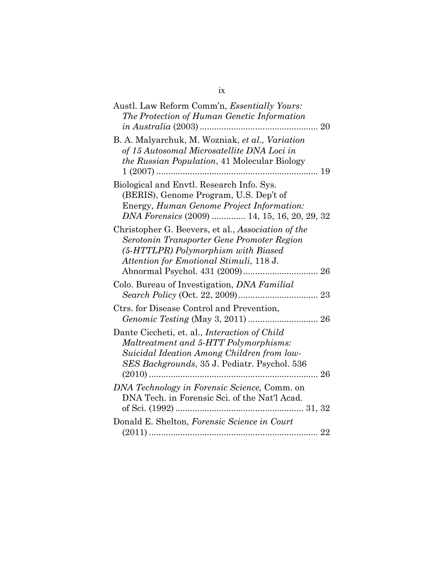| Austl. Law Reform Comm'n, <i>Essentially Yours:</i><br>The Protection of Human Genetic Information                                                                                          |  |
|---------------------------------------------------------------------------------------------------------------------------------------------------------------------------------------------|--|
| B. A. Malyarchuk, M. Wozniak, et al., Variation                                                                                                                                             |  |
| of 15 Autosomal Microsatellite DNA Loci in<br><i>the Russian Population</i> , 41 Molecular Biology                                                                                          |  |
| Biological and Envtl. Research Info. Sys.<br>(BERIS), Genome Program, U.S. Dep't of<br>Energy, Human Genome Project Information:<br>DNA Forensics (2009)  14, 15, 16, 20, 29, 32            |  |
| Christopher G. Beevers, et al., Association of the<br>Serotonin Transporter Gene Promoter Region<br>(5-HTTLPR) Polymorphism with Biased<br>Attention for Emotional Stimuli, 118 J.          |  |
| Colo. Bureau of Investigation, <i>DNA Familial</i>                                                                                                                                          |  |
| Ctrs. for Disease Control and Prevention,                                                                                                                                                   |  |
| Dante Ciccheti, et. al., <i>Interaction of Child</i><br>Maltreatment and 5-HTT Polymorphisms:<br>Suicidal Ideation Among Children from low-<br>SES Backgrounds, 35 J. Pediatr. Psychol. 536 |  |
| DNA Technology in Forensic Science, Comm. on<br>DNA Tech. in Forensic Sci. of the Nat'l Acad.                                                                                               |  |
| Donald E. Shelton, Forensic Science in Court                                                                                                                                                |  |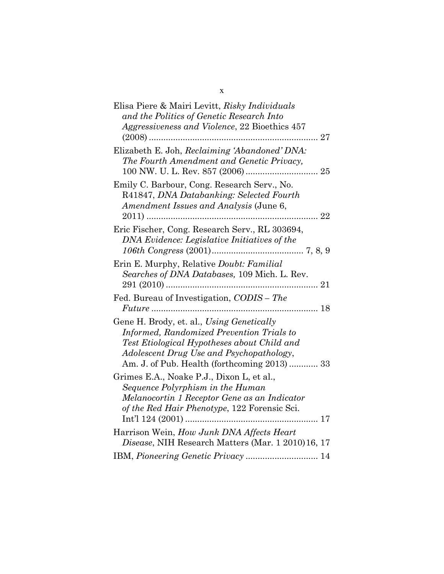| Elisa Piere & Mairi Levitt, Risky Individuals<br>and the Politics of Genetic Research Into<br>Aggressiveness and Violence, 22 Bioethics 457<br>27                                                                                       |
|-----------------------------------------------------------------------------------------------------------------------------------------------------------------------------------------------------------------------------------------|
| Elizabeth E. Joh, Reclaiming 'Abandoned' DNA:<br>The Fourth Amendment and Genetic Privacy,                                                                                                                                              |
| Emily C. Barbour, Cong. Research Serv., No.<br>R41847, DNA Databanking: Selected Fourth<br>Amendment Issues and Analysis (June 6,                                                                                                       |
| Eric Fischer, Cong. Research Serv., RL 303694,<br>DNA Evidence: Legislative Initiatives of the                                                                                                                                          |
| Erin E. Murphy, Relative Doubt: Familial<br>Searches of DNA Databases, 109 Mich. L. Rev.                                                                                                                                                |
| Fed. Bureau of Investigation, CODIS - The                                                                                                                                                                                               |
| Gene H. Brody, et. al., Using Genetically<br><b>Informed, Randomized Prevention Trials to</b><br>Test Etiological Hypotheses about Child and<br>Adolescent Drug Use and Psychopathology,<br>Am. J. of Pub. Health (forthcoming 2013) 33 |
| Grimes E.A., Noake P.J., Dixon L, et al.,<br>Sequence Polyrphism in the Human<br>Melanocortin 1 Receptor Gene as an Indicator<br>of the Red Hair Phenotype, 122 Forensic Sci.                                                           |
| Harrison Wein, How Junk DNA Affects Heart<br>Disease, NIH Research Matters (Mar. 1 2010) 16, 17                                                                                                                                         |
| IBM, Pioneering Genetic Privacy  14                                                                                                                                                                                                     |

x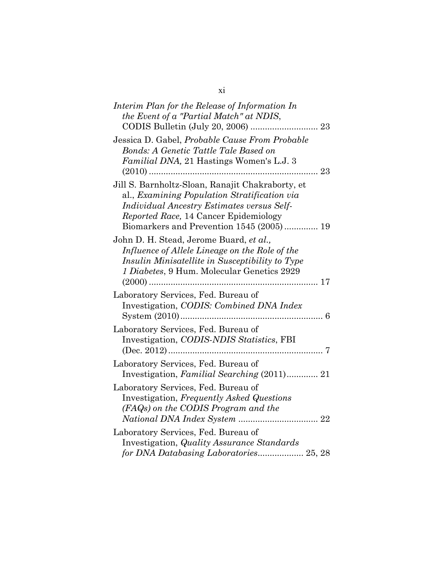xi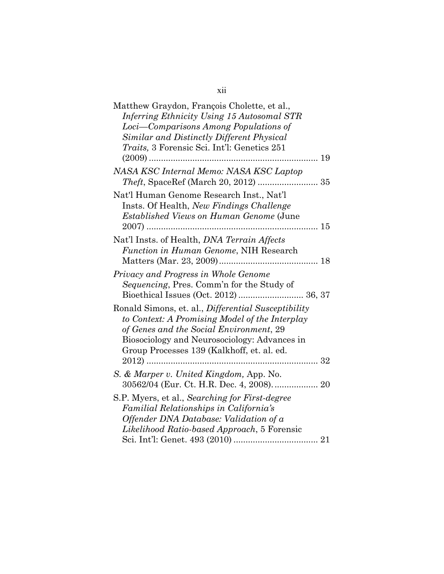| Matthew Graydon, François Cholette, et al.,<br>Inferring Ethnicity Using 15 Autosomal STR<br>Loci—Comparisons Among Populations of<br>Similar and Distinctly Different Physical<br><i>Traits</i> , 3 Forensic Sci. Int'l: Genetics 251         |
|------------------------------------------------------------------------------------------------------------------------------------------------------------------------------------------------------------------------------------------------|
|                                                                                                                                                                                                                                                |
| NASA KSC Internal Memo: NASA KSC Laptop                                                                                                                                                                                                        |
| Nat'l Human Genome Research Inst., Nat'l<br>Insts. Of Health, New Findings Challenge<br><i>Established Views on Human Genome</i> (June                                                                                                         |
| Nat'l Insts. of Health, DNA Terrain Affects<br>Function in Human Genome, NIH Research                                                                                                                                                          |
| Privacy and Progress in Whole Genome<br><i>Sequencing</i> , Pres. Comm'n for the Study of<br>Bioethical Issues (Oct. 2012)  36, 37                                                                                                             |
| Ronald Simons, et. al., Differential Susceptibility<br>to Context: A Promising Model of the Interplay<br>of Genes and the Social Environment, 29<br>Biosociology and Neurosociology: Advances in<br>Group Processes 139 (Kalkhoff, et. al. ed. |
| $2012)$<br>. 32                                                                                                                                                                                                                                |
| S. & Marper v. United Kingdom, App. No.<br>30562/04 (Eur. Ct. H.R. Dec. 4, 2008) 20                                                                                                                                                            |
| S.P. Myers, et al., Searching for First-degree<br>Familial Relationships in California's<br>Offender DNA Database: Validation of a<br>Likelihood Ratio-based Approach, 5 Forensic                                                              |

## xii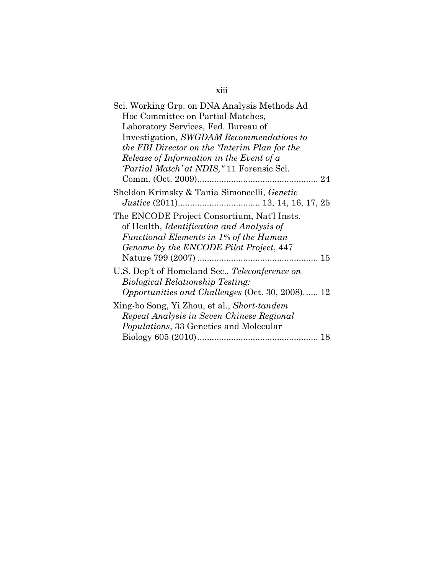| Sci. Working Grp. on DNA Analysis Methods Ad           |
|--------------------------------------------------------|
| Hoc Committee on Partial Matches,                      |
| Laboratory Services, Fed. Bureau of                    |
| Investigation, SWGDAM Recommendations to               |
| the FBI Director on the "Interim Plan for the          |
| Release of Information in the Event of a               |
| 'Partial Match' at NDIS," 11 Forensic Sci.             |
|                                                        |
| Sheldon Krimsky & Tania Simoncelli, Genetic            |
| The ENCODE Project Consortium, Nat'l Insts.            |
| of Health, <i>Identification and Analysis of</i>       |
| Functional Elements in 1% of the Human                 |
| Genome by the ENCODE Pilot Project, 447                |
|                                                        |
| U.S. Dep't of Homeland Sec., Teleconference on         |
| <i>Biological Relationship Testing:</i>                |
| <i>Opportunities and Challenges (Oct. 30, 2008)</i> 12 |
| Xing-bo Song, Yi Zhou, et al., Short-tandem            |
| Repeat Analysis in Seven Chinese Regional              |
| <i>Populations</i> , 33 Genetics and Molecular         |
|                                                        |

# xiii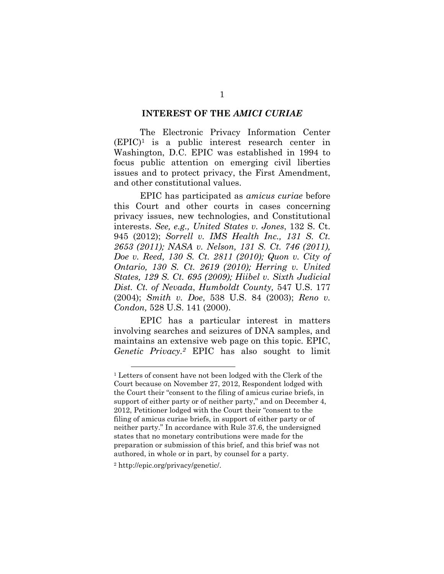#### **INTEREST OF THE** *AMICI CURIAE*

The Electronic Privacy Information Center  $(EPIC)<sup>1</sup>$  is a public interest research center in Washington, D.C. EPIC was established in 1994 to focus public attention on emerging civil liberties issues and to protect privacy, the First Amendment, and other constitutional values.

EPIC has participated as *amicus curiae* before this Court and other courts in cases concerning privacy issues, new technologies, and Constitutional interests. *See, e.g., United States v. Jones*, 132 S. Ct. 945 (2012); *Sorrell v. IMS Health Inc., 131 S. Ct. 2653 (2011); NASA v. Nelson, 131 S. Ct. 746 (2011), Doe v. Reed, 130 S. Ct. 2811 (2010); Quon v. City of Ontario, 130 S. Ct. 2619 (2010); Herring v. United States, 129 S. Ct. 695 (2009); Hiibel v. Sixth Judicial Dist. Ct. of Nevada*, *Humboldt County,* 547 U.S. 177 (2004); *Smith v. Doe*, 538 U.S. 84 (2003); *Reno v. Condon,* 528 U.S. 141 (2000).

EPIC has a particular interest in matters involving searches and seizures of DNA samples, and maintains an extensive web page on this topic. EPIC, *Genetic Privacy.2* EPIC has also sought to limit

<sup>1</sup> Letters of consent have not been lodged with the Clerk of the Court because on November 27, 2012, Respondent lodged with the Court their "consent to the filing of amicus curiae briefs, in support of either party or of neither party," and on December 4, 2012, Petitioner lodged with the Court their "consent to the filing of amicus curiae briefs, in support of either party or of neither party." In accordance with Rule 37.6, the undersigned states that no monetary contributions were made for the preparation or submission of this brief, and this brief was not authored, in whole or in part, by counsel for a party.

<sup>2</sup> http://epic.org/privacy/genetic/.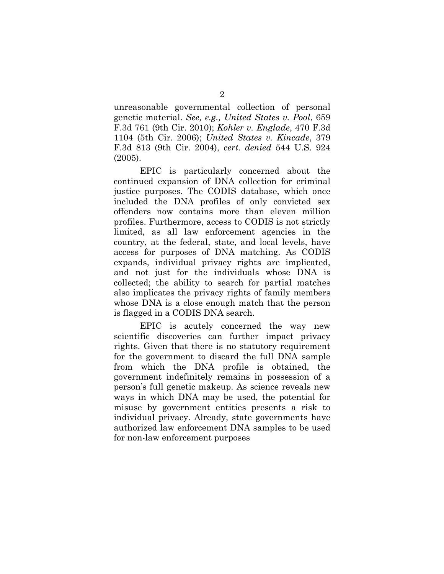unreasonable governmental collection of personal genetic material. *See, e.g., United States v. Pool*, 659 F.3d 761 (9th Cir. 2010); *Kohler v. Englade*, 470 F.3d 1104 (5th Cir. 2006); *United States v. Kincade*, 379 F.3d 813 (9th Cir. 2004), *cert. denied* 544 U.S. 924 (2005).

EPIC is particularly concerned about the continued expansion of DNA collection for criminal justice purposes. The CODIS database, which once included the DNA profiles of only convicted sex offenders now contains more than eleven million profiles. Furthermore, access to CODIS is not strictly limited, as all law enforcement agencies in the country, at the federal, state, and local levels, have access for purposes of DNA matching. As CODIS expands, individual privacy rights are implicated, and not just for the individuals whose DNA is collected; the ability to search for partial matches also implicates the privacy rights of family members whose DNA is a close enough match that the person is flagged in a CODIS DNA search.

EPIC is acutely concerned the way new scientific discoveries can further impact privacy rights. Given that there is no statutory requirement for the government to discard the full DNA sample from which the DNA profile is obtained, the government indefinitely remains in possession of a person's full genetic makeup. As science reveals new ways in which DNA may be used, the potential for misuse by government entities presents a risk to individual privacy. Already, state governments have authorized law enforcement DNA samples to be used for non-law enforcement purposes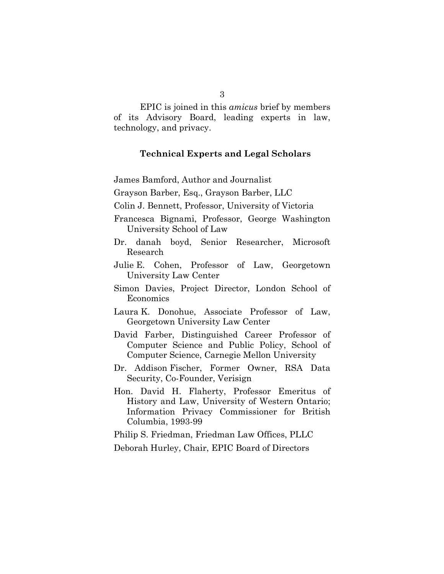EPIC is joined in this *amicus* brief by members of its Advisory Board, leading experts in law, technology, and privacy.

#### **Technical Experts and Legal Scholars**

James Bamford, Author and Journalist

Grayson Barber, Esq., Grayson Barber, LLC

Colin J. Bennett, Professor, University of Victoria

- Francesca Bignami, Professor, George Washington University School of Law
- Dr. danah boyd, Senior Researcher, Microsoft Research
- Julie E. Cohen, Professor of Law, Georgetown University Law Center
- Simon Davies, Project Director, London School of Economics
- Laura K. Donohue, Associate Professor of Law, Georgetown University Law Center
- David Farber, Distinguished Career Professor of Computer Science and Public Policy, School of Computer Science, Carnegie Mellon University
- Dr. Addison Fischer, Former Owner, RSA Data Security, Co-Founder, Verisign
- Hon. David H. Flaherty, Professor Emeritus of History and Law, University of Western Ontario; Information Privacy Commissioner for British Columbia, 1993-99

Philip S. Friedman, Friedman Law Offices, PLLC

Deborah Hurley, Chair, EPIC Board of Directors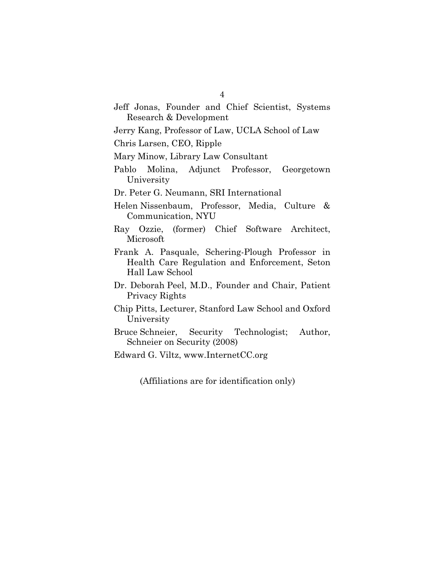Jeff Jonas, Founder and Chief Scientist, Systems Research & Development

Jerry Kang, Professor of Law, UCLA School of Law

Chris Larsen, CEO, Ripple

Mary Minow, Library Law Consultant

Pablo Molina, Adjunct Professor, Georgetown University

Dr. Peter G. Neumann, SRI International

- Helen Nissenbaum, Professor, Media, Culture & Communication, NYU
- Ray Ozzie, (former) Chief Software Architect, Microsoft
- Frank A. Pasquale, Schering-Plough Professor in Health Care Regulation and Enforcement, Seton Hall Law School
- Dr. Deborah Peel, M.D., Founder and Chair, Patient Privacy Rights
- Chip Pitts, Lecturer, Stanford Law School and Oxford University
- Bruce Schneier, Security Technologist; Author, Schneier on Security (2008)
- Edward G. Viltz, www.InternetCC.org

(Affiliations are for identification only)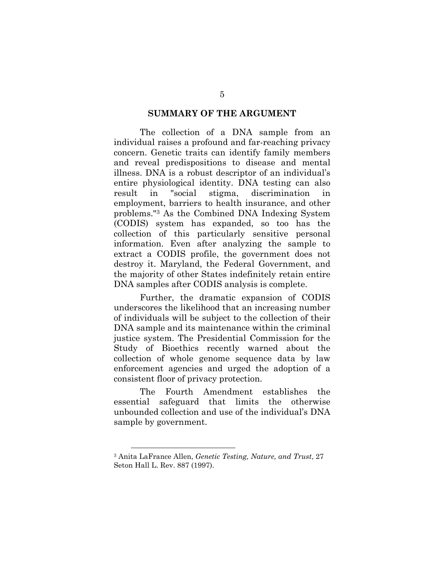#### **SUMMARY OF THE ARGUMENT**

The collection of a DNA sample from an individual raises a profound and far-reaching privacy concern. Genetic traits can identify family members and reveal predispositions to disease and mental illness. DNA is a robust descriptor of an individual's entire physiological identity. DNA testing can also result in "social stigma, discrimination employment, barriers to health insurance, and other problems."3 As the Combined DNA Indexing System (CODIS) system has expanded, so too has the collection of this particularly sensitive personal information. Even after analyzing the sample to extract a CODIS profile, the government does not destroy it. Maryland, the Federal Government, and the majority of other States indefinitely retain entire DNA samples after CODIS analysis is complete.

Further, the dramatic expansion of CODIS underscores the likelihood that an increasing number of individuals will be subject to the collection of their DNA sample and its maintenance within the criminal justice system. The Presidential Commission for the Study of Bioethics recently warned about the collection of whole genome sequence data by law enforcement agencies and urged the adoption of a consistent floor of privacy protection.

The Fourth Amendment establishes the essential safeguard that limits the otherwise unbounded collection and use of the individual's DNA sample by government.

<sup>3</sup> Anita LaFrance Allen, *Genetic Testing, Nature, and Trust*, 27 Seton Hall L. Rev. 887 (1997).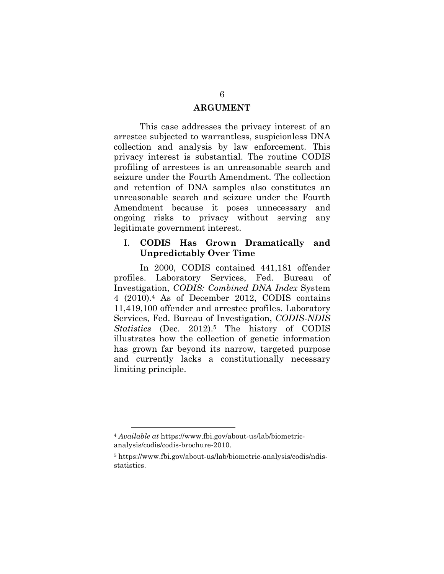#### **ARGUMENT**

This case addresses the privacy interest of an arrestee subjected to warrantless, suspicionless DNA collection and analysis by law enforcement. This privacy interest is substantial. The routine CODIS profiling of arrestees is an unreasonable search and seizure under the Fourth Amendment. The collection and retention of DNA samples also constitutes an unreasonable search and seizure under the Fourth Amendment because it poses unnecessary and ongoing risks to privacy without serving any legitimate government interest.

#### I. **CODIS Has Grown Dramatically and Unpredictably Over Time**

In 2000, CODIS contained 441,181 offender profiles. Laboratory Services, Fed. Bureau of Investigation, *CODIS: Combined DNA Index* System 4 (2010).4 As of December 2012, CODIS contains 11,419,100 offender and arrestee profiles. Laboratory Services, Fed. Bureau of Investigation, *CODIS-NDIS Statistics* (Dec. 2012).5 The history of CODIS illustrates how the collection of genetic information has grown far beyond its narrow, targeted purpose and currently lacks a constitutionally necessary limiting principle.

<sup>4</sup> *Available at* https://www.fbi.gov/about-us/lab/biometricanalysis/codis/codis-brochure-2010.

<sup>5</sup> https://www.fbi.gov/about-us/lab/biometric-analysis/codis/ndisstatistics.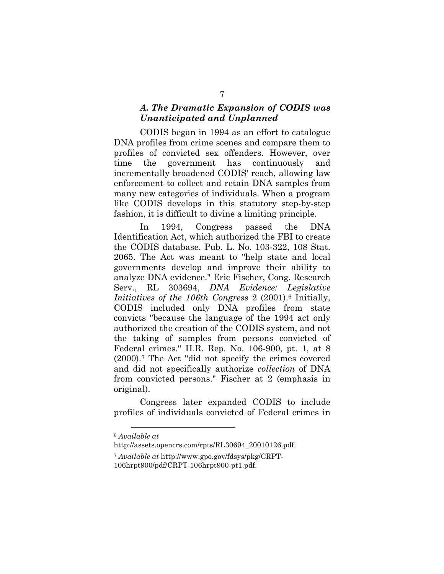#### *A. The Dramatic Expansion of CODIS was Unanticipated and Unplanned*

CODIS began in 1994 as an effort to catalogue DNA profiles from crime scenes and compare them to profiles of convicted sex offenders. However, over time the government has continuously and incrementally broadened CODIS' reach, allowing law enforcement to collect and retain DNA samples from many new categories of individuals. When a program like CODIS develops in this statutory step-by-step fashion, it is difficult to divine a limiting principle.

In 1994, Congress passed the DNA Identification Act, which authorized the FBI to create the CODIS database. Pub. L. No. 103-322, 108 Stat. 2065. The Act was meant to "help state and local governments develop and improve their ability to analyze DNA evidence." Eric Fischer, Cong. Research Serv., RL 303694, *DNA Evidence: Legislative Initiatives of the 106th Congress* 2 (2001).6 Initially, CODIS included only DNA profiles from state convicts "because the language of the 1994 act only authorized the creation of the CODIS system, and not the taking of samples from persons convicted of Federal crimes." H.R. Rep. No. 106-900, pt. 1, at 8 (2000).7 The Act "did not specify the crimes covered and did not specifically authorize *collection* of DNA from convicted persons." Fischer at 2 (emphasis in original).

Congress later expanded CODIS to include profiles of individuals convicted of Federal crimes in

 $\overline{a}$ <sup>6</sup> *Available at*

http://assets.opencrs.com/rpts/RL30694\_20010126.pdf.

<sup>7</sup> *Available at* http://www.gpo.gov/fdsys/pkg/CRPT-

<sup>106</sup>hrpt900/pdf/CRPT-106hrpt900-pt1.pdf.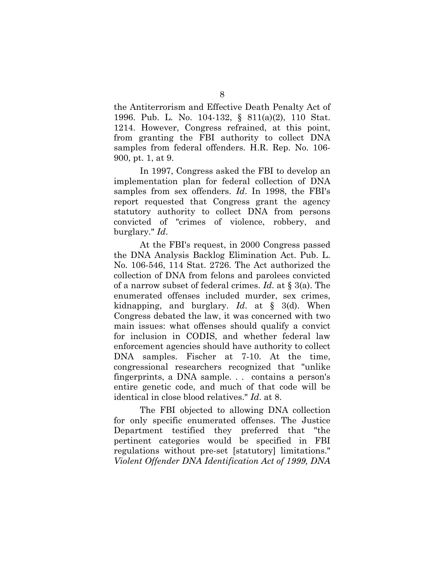the Antiterrorism and Effective Death Penalty Act of 1996. Pub. L. No. 104-132, § 811(a)(2), 110 Stat. 1214. However, Congress refrained, at this point, from granting the FBI authority to collect DNA samples from federal offenders. H.R. Rep. No. 106- 900, pt. 1, at 9.

In 1997, Congress asked the FBI to develop an implementation plan for federal collection of DNA samples from sex offenders. *Id*. In 1998, the FBI's report requested that Congress grant the agency statutory authority to collect DNA from persons convicted of "crimes of violence, robbery, and burglary." *Id*.

At the FBI's request, in 2000 Congress passed the DNA Analysis Backlog Elimination Act. Pub. L. No. 106-546, 114 Stat. 2726. The Act authorized the collection of DNA from felons and parolees convicted of a narrow subset of federal crimes. *Id*. at § 3(a). The enumerated offenses included murder, sex crimes, kidnapping, and burglary. *Id*. at § 3(d). When Congress debated the law, it was concerned with two main issues: what offenses should qualify a convict for inclusion in CODIS, and whether federal law enforcement agencies should have authority to collect DNA samples. Fischer at 7-10. At the time, congressional researchers recognized that "unlike fingerprints, a DNA sample. . . contains a person's entire genetic code, and much of that code will be identical in close blood relatives." *Id*. at 8.

The FBI objected to allowing DNA collection for only specific enumerated offenses. The Justice Department testified they preferred that "the pertinent categories would be specified in FBI regulations without pre-set [statutory] limitations." *Violent Offender DNA Identification Act of 1999, DNA*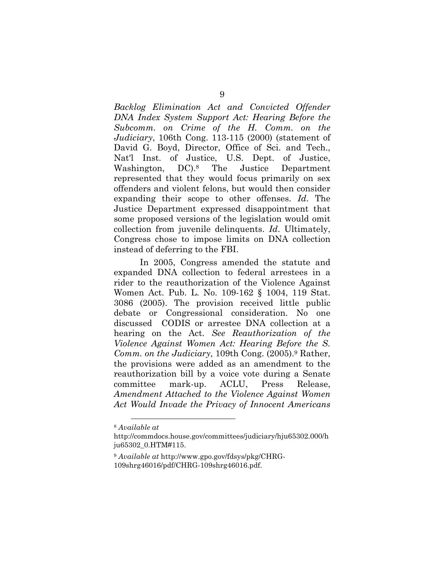*Backlog Elimination Act and Convicted Offender DNA Index System Support Act: Hearing Before the Subcomm. on Crime of the H. Comm. on the Judiciary*, 106th Cong. 113-115 (2000) (statement of David G. Boyd, Director, Office of Sci. and Tech., Nat'l Inst. of Justice, U.S. Dept. of Justice, Washington, DC).8 The Justice Department represented that they would focus primarily on sex offenders and violent felons, but would then consider expanding their scope to other offenses. *Id*. The Justice Department expressed disappointment that some proposed versions of the legislation would omit collection from juvenile delinquents. *Id*. Ultimately, Congress chose to impose limits on DNA collection instead of deferring to the FBI.

In 2005, Congress amended the statute and expanded DNA collection to federal arrestees in a rider to the reauthorization of the Violence Against Women Act. Pub. L. No. 109-162 § 1004, 119 Stat. 3086 (2005). The provision received little public debate or Congressional consideration. No one discussed CODIS or arrestee DNA collection at a hearing on the Act. *See Reauthorization of the Violence Against Women Act: Hearing Before the S. Comm. on the Judiciary*, 109th Cong. (2005).9 Rather, the provisions were added as an amendment to the reauthorization bill by a voice vote during a Senate committee mark-up. ACLU, Press Release, *Amendment Attached to the Violence Against Women Act Would Invade the Privacy of Innocent Americans* 

 $\overline{a}$ <sup>8</sup> *Available at*

http://commdocs.house.gov/committees/judiciary/hju65302.000/h ju65302\_0.HTM#115.

<sup>9</sup> *Available at* http://www.gpo.gov/fdsys/pkg/CHRG-109shrg46016/pdf/CHRG-109shrg46016.pdf.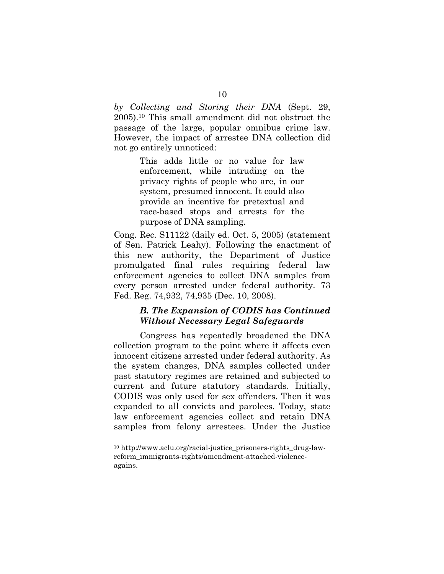*by Collecting and Storing their DNA* (Sept. 29, 2005).10 This small amendment did not obstruct the passage of the large, popular omnibus crime law. However, the impact of arrestee DNA collection did not go entirely unnoticed:

> This adds little or no value for law enforcement, while intruding on the privacy rights of people who are, in our system, presumed innocent. It could also provide an incentive for pretextual and race-based stops and arrests for the purpose of DNA sampling.

Cong. Rec. S11122 (daily ed. Oct. 5, 2005) (statement of Sen. Patrick Leahy). Following the enactment of this new authority, the Department of Justice promulgated final rules requiring federal law enforcement agencies to collect DNA samples from every person arrested under federal authority. 73 Fed. Reg. 74,932, 74,935 (Dec. 10, 2008).

#### *B. The Expansion of CODIS has Continued Without Necessary Legal Safeguards*

Congress has repeatedly broadened the DNA collection program to the point where it affects even innocent citizens arrested under federal authority. As the system changes, DNA samples collected under past statutory regimes are retained and subjected to current and future statutory standards. Initially, CODIS was only used for sex offenders. Then it was expanded to all convicts and parolees. Today, state law enforcement agencies collect and retain DNA samples from felony arrestees. Under the Justice

<sup>&</sup>lt;sup>10</sup> http://www.aclu.org/racial-justice\_prisoners-rights\_drug-lawreform\_immigrants-rights/amendment-attached-violenceagains.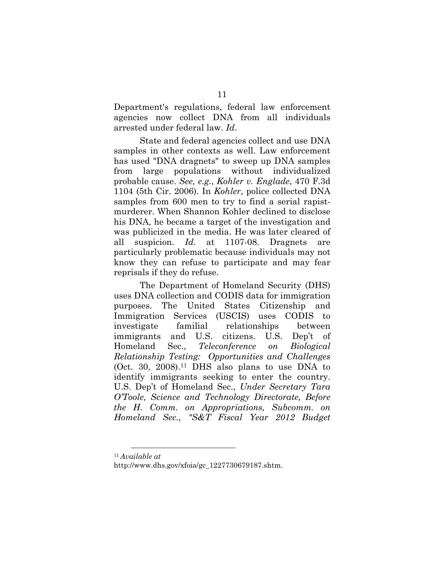Department's regulations, federal law enforcement agencies now collect DNA from all individuals arrested under federal law. *Id*.

State and federal agencies collect and use DNA samples in other contexts as well. Law enforcement has used "DNA dragnets" to sweep up DNA samples from large populations without individualized probable cause. *See, e.g.*, *Kohler v. Englade*, 470 F.3d 1104 (5th Cir. 2006). In *Kohler*, police collected DNA samples from 600 men to try to find a serial rapistmurderer. When Shannon Kohler declined to disclose his DNA, he became a target of the investigation and was publicized in the media. He was later cleared of all suspicion. *Id*. at 1107-08. Dragnets are particularly problematic because individuals may not know they can refuse to participate and may fear reprisals if they do refuse.

The Department of Homeland Security (DHS) uses DNA collection and CODIS data for immigration purposes. The United States Citizenship and Immigration Services (USCIS) uses CODIS to investigate familial relationships between immigrants and U.S. citizens. U.S. Dep't of Homeland Sec., *Teleconference on Biological Relationship Testing: Opportunities and Challenges*  $(Oct. 30, 2008).<sup>11</sup> DHS also plans to use DNA to$ identify immigrants seeking to enter the country. U.S. Dep't of Homeland Sec., *Under Secretary Tara O'Toole, Science and Technology Directorate, Before the H. Comm. on Appropriations, Subcomm. on Homeland Sec., "S&T Fiscal Year 2012 Budget* 

<sup>11</sup> *Available at*

http://www.dhs.gov/xfoia/gc\_1227730679187.shtm.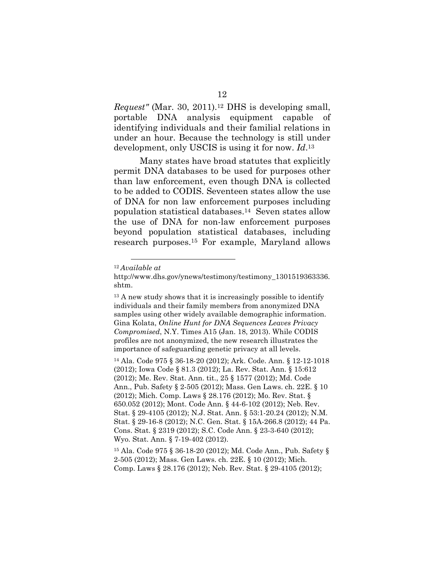*Request"* (Mar. 30, 2011).12 DHS is developing small, portable DNA analysis equipment capable of identifying individuals and their familial relations in under an hour. Because the technology is still under development, only USCIS is using it for now. *Id*.13

Many states have broad statutes that explicitly permit DNA databases to be used for purposes other than law enforcement, even though DNA is collected to be added to CODIS. Seventeen states allow the use of DNA for non law enforcement purposes including population statistical databases.14 Seven states allow the use of DNA for non-law enforcement purposes beyond population statistical databases, including research purposes.15 For example, Maryland allows

<sup>14</sup> Ala. Code 975 § 36-18-20 (2012); Ark. Code. Ann. § 12-12-1018 (2012); Iowa Code § 81.3 (2012); La. Rev. Stat. Ann. § 15:612 (2012); Me. Rev. Stat. Ann. tit., 25 § 1577 (2012); Md. Code Ann., Pub. Safety § 2-505 (2012); Mass. Gen Laws. ch. 22E. § 10 (2012); Mich. Comp. Laws § 28.176 (2012); Mo. Rev. Stat. § 650.052 (2012); Mont. Code Ann. § 44-6-102 (2012); Neb. Rev. Stat. § 29-4105 (2012); N.J. Stat. Ann. § 53:1-20.24 (2012); N.M. Stat. § 29-16-8 (2012); N.C. Gen. Stat. § 15A-266.8 (2012); 44 Pa. Cons. Stat. § 2319 (2012); S.C. Code Ann. § 23-3-640 (2012); Wyo. Stat. Ann. § 7-19-402 (2012).

 $\overline{a}$ <sup>12</sup> *Available at*

http://www.dhs.gov/ynews/testimony/testimony\_1301519363336. shtm.

<sup>&</sup>lt;sup>13</sup> A new study shows that it is increasingly possible to identify individuals and their family members from anonymized DNA samples using other widely available demographic information. Gina Kolata, *Online Hunt for DNA Sequences Leaves Privacy Compromised*, N.Y. Times A15 (Jan. 18, 2013). While CODIS profiles are not anonymized, the new research illustrates the importance of safeguarding genetic privacy at all levels.

<sup>15</sup> Ala. Code 975 § 36-18-20 (2012); Md. Code Ann., Pub. Safety § 2-505 (2012); Mass. Gen Laws. ch. 22E. § 10 (2012); Mich. Comp. Laws § 28.176 (2012); Neb. Rev. Stat. § 29-4105 (2012);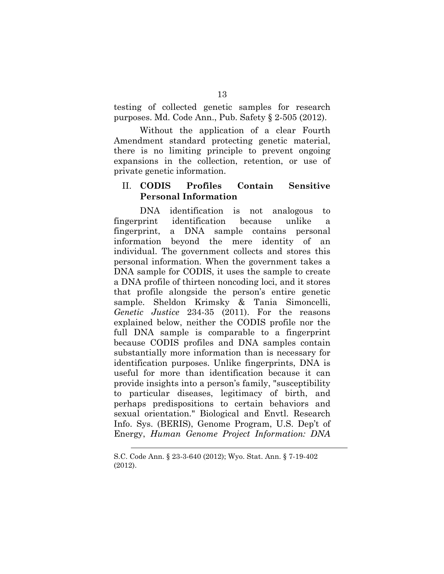testing of collected genetic samples for research purposes. Md. Code Ann., Pub. Safety § 2-505 (2012).

Without the application of a clear Fourth Amendment standard protecting genetic material, there is no limiting principle to prevent ongoing expansions in the collection, retention, or use of private genetic information.

#### II. **CODIS Profiles Contain Sensitive Personal Information**

DNA identification is not analogous to fingerprint identification because unlike a fingerprint, a DNA sample contains personal information beyond the mere identity of an individual. The government collects and stores this personal information. When the government takes a DNA sample for CODIS, it uses the sample to create a DNA profile of thirteen noncoding loci, and it stores that profile alongside the person's entire genetic sample. Sheldon Krimsky & Tania Simoncelli, *Genetic Justice* 234-35 (2011). For the reasons explained below, neither the CODIS profile nor the full DNA sample is comparable to a fingerprint because CODIS profiles and DNA samples contain substantially more information than is necessary for identification purposes. Unlike fingerprints, DNA is useful for more than identification because it can provide insights into a person's family, "susceptibility to particular diseases, legitimacy of birth, and perhaps predispositions to certain behaviors and sexual orientation." Biological and Envtl. Research Info. Sys. (BERIS), Genome Program, U.S. Dep't of Energy, *Human Genome Project Information: DNA* 

<u>.</u>

S.C. Code Ann. § 23-3-640 (2012); Wyo. Stat. Ann. § 7-19-402 (2012).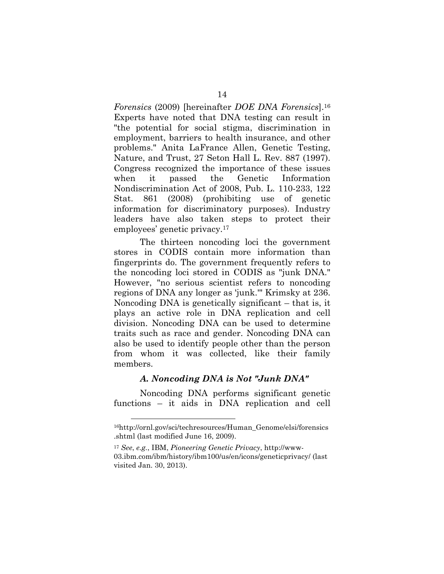*Forensics* (2009) [hereinafter *DOE DNA Forensics*].16 Experts have noted that DNA testing can result in "the potential for social stigma, discrimination in employment, barriers to health insurance, and other problems." Anita LaFrance Allen, Genetic Testing, Nature, and Trust, 27 Seton Hall L. Rev. 887 (1997). Congress recognized the importance of these issues when it passed the Genetic Information Nondiscrimination Act of 2008, Pub. L. 110-233, 122 Stat. 861 (2008) (prohibiting use of genetic information for discriminatory purposes). Industry leaders have also taken steps to protect their employees' genetic privacy.17

The thirteen noncoding loci the government stores in CODIS contain more information than fingerprints do. The government frequently refers to the noncoding loci stored in CODIS as "junk DNA." However, "no serious scientist refers to noncoding regions of DNA any longer as 'junk.'" Krimsky at 236. Noncoding DNA is genetically significant – that is, it plays an active role in DNA replication and cell division. Noncoding DNA can be used to determine traits such as race and gender. Noncoding DNA can also be used to identify people other than the person from whom it was collected, like their family members.

#### *A. Noncoding DNA is Not "Junk DNA"*

Noncoding DNA performs significant genetic functions – it aids in DNA replication and cell

<sup>16</sup>http://ornl.gov/sci/techresources/Human\_Genome/elsi/forensics .shtml (last modified June 16, 2009).

<sup>17</sup> *See*, *e.g.*, IBM, *Pioneering Genetic Privacy*, http://www-03.ibm.com/ibm/history/ibm100/us/en/icons/geneticprivacy/ (last visited Jan. 30, 2013).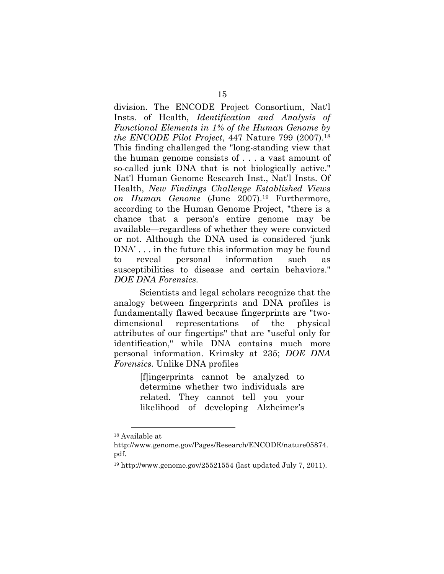division. The ENCODE Project Consortium, Nat'l Insts. of Health, *Identification and Analysis of Functional Elements in 1% of the Human Genome by the ENCODE Pilot Project*, 447 Nature 799 (2007).18 This finding challenged the "long-standing view that the human genome consists of . . . a vast amount of so-called junk DNA that is not biologically active." Nat'l Human Genome Research Inst., Nat'l Insts. Of Health, *New Findings Challenge Established Views on Human Genome* (June 2007).19 Furthermore, according to the Human Genome Project, "there is a chance that a person's entire genome may be available—regardless of whether they were convicted or not. Although the DNA used is considered 'junk DNA'... in the future this information may be found to reveal personal information such as susceptibilities to disease and certain behaviors." *DOE DNA Forensics.*

Scientists and legal scholars recognize that the analogy between fingerprints and DNA profiles is fundamentally flawed because fingerprints are "twodimensional representations of the physical attributes of our fingertips" that are "useful only for identification," while DNA contains much more personal information. Krimsky at 235; *DOE DNA Forensics.* Unlike DNA profiles

> [f]ingerprints cannot be analyzed to determine whether two individuals are related. They cannot tell you your likelihood of developing Alzheimer's

 $\overline{a}$ 18 Available at

http://www.genome.gov/Pages/Research/ENCODE/nature05874. pdf.

 $19$  http://www.genome.gov/25521554 (last updated July 7, 2011).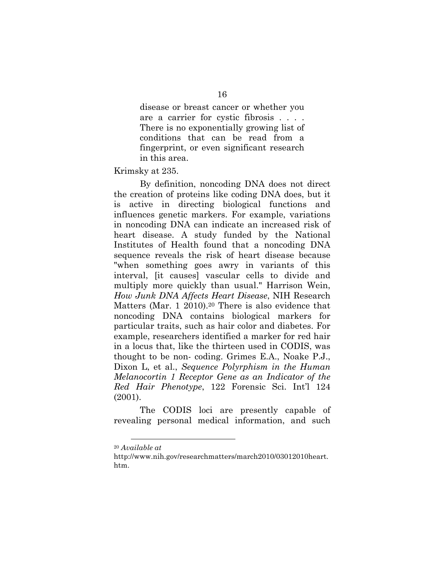disease or breast cancer or whether you are a carrier for cystic fibrosis . . . . There is no exponentially growing list of conditions that can be read from a fingerprint, or even significant research in this area.

Krimsky at 235.

By definition, noncoding DNA does not direct the creation of proteins like coding DNA does, but it is active in directing biological functions and influences genetic markers. For example, variations in noncoding DNA can indicate an increased risk of heart disease. A study funded by the National Institutes of Health found that a noncoding DNA sequence reveals the risk of heart disease because "when something goes awry in variants of this interval, [it causes] vascular cells to divide and multiply more quickly than usual." Harrison Wein, *How Junk DNA Affects Heart Disease*, NIH Research Matters (Mar. 1 2010).<sup>20</sup> There is also evidence that noncoding DNA contains biological markers for particular traits, such as hair color and diabetes. For example, researchers identified a marker for red hair in a locus that, like the thirteen used in CODIS, was thought to be non- coding. Grimes E.A., Noake P.J., Dixon L, et al., *Sequence Polyrphism in the Human Melanocortin 1 Receptor Gene as an Indicator of the Red Hair Phenotype*, 122 Forensic Sci. Int'l 124 (2001).

The CODIS loci are presently capable of revealing personal medical information, and such

<sup>20</sup> *Available at*

http://www.nih.gov/researchmatters/march2010/03012010heart. htm.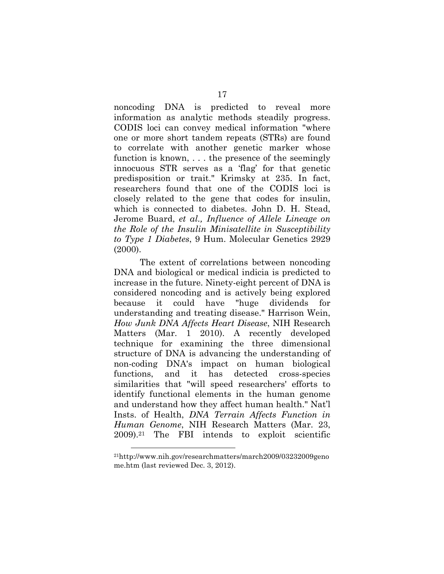noncoding DNA is predicted to reveal more information as analytic methods steadily progress. CODIS loci can convey medical information "where one or more short tandem repeats (STRs) are found to correlate with another genetic marker whose function is known, . . . the presence of the seemingly innocuous STR serves as a 'flag' for that genetic predisposition or trait." Krimsky at 235. In fact, researchers found that one of the CODIS loci is closely related to the gene that codes for insulin, which is connected to diabetes. John D. H. Stead, Jerome Buard, *et al., Influence of Allele Lineage on the Role of the Insulin Minisatellite in Susceptibility to Type 1 Diabetes*, 9 Hum. Molecular Genetics 2929 (2000).

The extent of correlations between noncoding DNA and biological or medical indicia is predicted to increase in the future. Ninety-eight percent of DNA is considered noncoding and is actively being explored because it could have "huge dividends for understanding and treating disease." Harrison Wein, *How Junk DNA Affects Heart Disease*, NIH Research Matters (Mar. 1 2010). A recently developed technique for examining the three dimensional structure of DNA is advancing the understanding of non-coding DNA's impact on human biological functions, and it has detected cross-species similarities that "will speed researchers' efforts to identify functional elements in the human genome and understand how they affect human health." Nat'l Insts. of Health, *DNA Terrain Affects Function in Human Genome*, NIH Research Matters (Mar. 23, 2009).21 The FBI intends to exploit scientific

<sup>21</sup>http://www.nih.gov/researchmatters/march2009/03232009geno me.htm (last reviewed Dec. 3, 2012).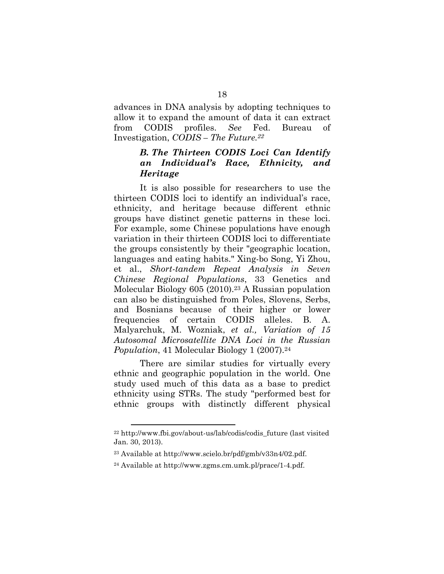advances in DNA analysis by adopting techniques to allow it to expand the amount of data it can extract from CODIS profiles. *See* Fed. Bureau of Investigation, *CODIS – The Future.22*

## *B. The Thirteen CODIS Loci Can Identify an Individual's Race, Ethnicity, and Heritage*

It is also possible for researchers to use the thirteen CODIS loci to identify an individual's race, ethnicity, and heritage because different ethnic groups have distinct genetic patterns in these loci. For example, some Chinese populations have enough variation in their thirteen CODIS loci to differentiate the groups consistently by their "geographic location, languages and eating habits." Xing-bo Song, Yi Zhou, et al., *Short-tandem Repeat Analysis in Seven Chinese Regional Populations*, 33 Genetics and Molecular Biology 605 (2010).23 A Russian population can also be distinguished from Poles, Slovens, Serbs, and Bosnians because of their higher or lower frequencies of certain CODIS alleles. B. A. Malyarchuk, M. Wozniak, *et al., Variation of 15 Autosomal Microsatellite DNA Loci in the Russian Population*, 41 Molecular Biology 1 (2007).<sup>24</sup>

There are similar studies for virtually every ethnic and geographic population in the world. One study used much of this data as a base to predict ethnicity using STRs. The study "performed best for ethnic groups with distinctly different physical

 $22$  http://www.fbi.gov/about-us/lab/codis/codis future (last visited Jan. 30, 2013).

<sup>23</sup> Available at http://www.scielo.br/pdf/gmb/v33n4/02.pdf.

<sup>24</sup> Available at http://www.zgms.cm.umk.pl/prace/1-4.pdf.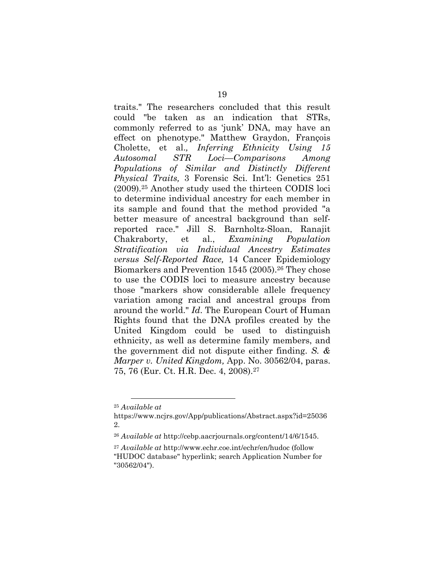traits." The researchers concluded that this result could "be taken as an indication that STRs, commonly referred to as 'junk' DNA, may have an effect on phenotype." Matthew Graydon, François Cholette, et al.*, Inferring Ethnicity Using 15 Autosomal STR Loci—Comparisons Among Populations of Similar and Distinctly Different Physical Traits,* 3 Forensic Sci. Int'l: Genetics 251 (2009).25 Another study used the thirteen CODIS loci to determine individual ancestry for each member in its sample and found that the method provided "a better measure of ancestral background than selfreported race." Jill S. Barnholtz-Sloan, Ranajit Chakraborty, et al., *Examining Population Stratification via Individual Ancestry Estimates versus Self-Reported Race,* 14 Cancer Epidemiology Biomarkers and Prevention 1545 (2005).<sup>26</sup> They chose to use the CODIS loci to measure ancestry because those "markers show considerable allele frequency variation among racial and ancestral groups from around the world." *Id*. The European Court of Human Rights found that the DNA profiles created by the United Kingdom could be used to distinguish ethnicity, as well as determine family members, and the government did not dispute either finding. *S. & Marper v. United Kingdom,* App. No. 30562/04, paras. 75, 76 (Eur. Ct. H.R. Dec. 4, 2008).27

<sup>25</sup> *Available at*

https://www.ncjrs.gov/App/publications/Abstract.aspx?id=25036 2.

<sup>26</sup> *Available at* http://cebp.aacrjournals.org/content/14/6/1545.

<sup>27</sup> *Available at* http://www.echr.coe.int/echr/en/hudoc (follow "HUDOC database" hyperlink; search Application Number for "30562/04").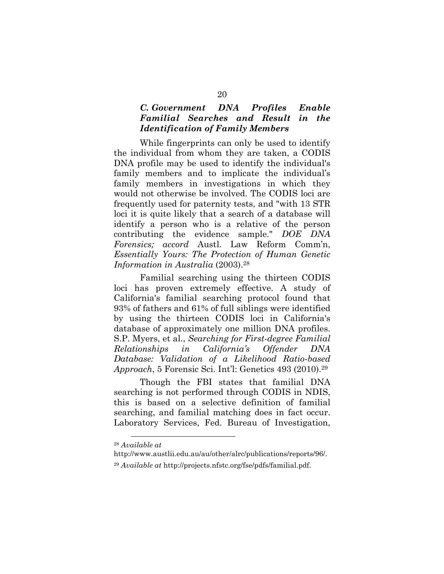#### *C. Government DNA Profiles Enable Familial Searches and Result in the Identification of Family Members*

While fingerprints can only be used to identify the individual from whom they are taken, a CODIS DNA profile may be used to identify the individual's family members and to implicate the individual's family members in investigations in which they would not otherwise be involved. The CODIS loci are frequently used for paternity tests, and "with 13 STR loci it is quite likely that a search of a database will identify a person who is a relative of the person contributing the evidence sample." *DOE DNA Forensics; accord* Austl. Law Reform Comm'n, *Essentially Yours: The Protection of Human Genetic Information in Australia* (2003).28

Familial searching using the thirteen CODIS loci has proven extremely effective. A study of California's familial searching protocol found that 93% of fathers and 61% of full siblings were identified by using the thirteen CODIS loci in California's database of approximately one million DNA profiles. S.P. Myers, et al., *Searching for First-degree Familial Relationships in California's Offender DNA Database: Validation of a Likelihood Ratio-based Approach*, 5 Forensic Sci. Int'l: Genetics 493 (2010).29

Though the FBI states that familial DNA searching is not performed through CODIS in NDIS, this is based on a selective definition of familial searching, and familial matching does in fact occur. Laboratory Services, Fed. Bureau of Investigation,

<sup>28</sup> *Available at*

http://www.austlii.edu.au/au/other/alrc/publications/reports/96/.

<sup>29</sup> *Available at* http://projects.nfstc.org/fse/pdfs/familial.pdf.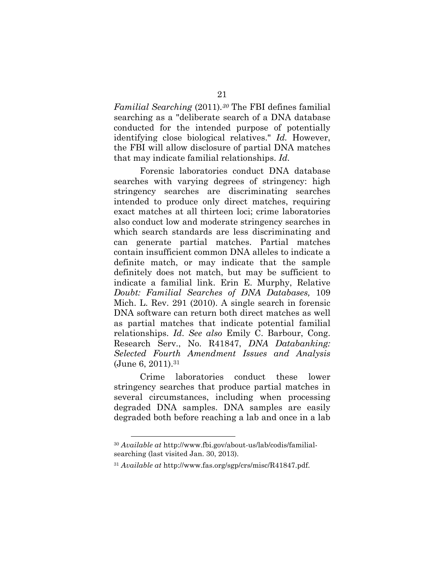*Familial Searching* (2011)*.30* The FBI defines familial searching as a "deliberate search of a DNA database conducted for the intended purpose of potentially identifying close biological relatives." *Id.* However, the FBI will allow disclosure of partial DNA matches that may indicate familial relationships. *Id.*

Forensic laboratories conduct DNA database searches with varying degrees of stringency: high stringency searches are discriminating searches intended to produce only direct matches, requiring exact matches at all thirteen loci; crime laboratories also conduct low and moderate stringency searches in which search standards are less discriminating and can generate partial matches. Partial matches contain insufficient common DNA alleles to indicate a definite match, or may indicate that the sample definitely does not match, but may be sufficient to indicate a familial link. Erin E. Murphy, Relative *Doubt: Familial Searches of DNA Databases,* 109 Mich. L. Rev. 291 (2010). A single search in forensic DNA software can return both direct matches as well as partial matches that indicate potential familial relationships. *Id*. *See also* Emily C. Barbour, Cong. Research Serv., No. R41847, *DNA Databanking: Selected Fourth Amendment Issues and Analysis* (June 6, 2011).31

Crime laboratories conduct these lower stringency searches that produce partial matches in several circumstances, including when processing degraded DNA samples. DNA samples are easily degraded both before reaching a lab and once in a lab

<sup>30</sup> *Available at* http://www.fbi.gov/about-us/lab/codis/familialsearching (last visited Jan. 30, 2013).

<sup>31</sup> *Available at* http://www.fas.org/sgp/crs/misc/R41847.pdf.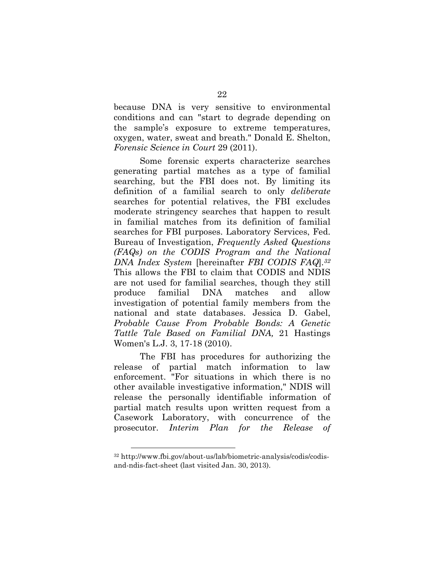because DNA is very sensitive to environmental conditions and can "start to degrade depending on the sample's exposure to extreme temperatures, oxygen, water, sweat and breath." Donald E. Shelton, *Forensic Science in Court* 29 (2011).

Some forensic experts characterize searches generating partial matches as a type of familial searching, but the FBI does not. By limiting its definition of a familial search to only *deliberate* searches for potential relatives, the FBI excludes moderate stringency searches that happen to result in familial matches from its definition of familial searches for FBI purposes. Laboratory Services, Fed. Bureau of Investigation, *Frequently Asked Questions (FAQs) on the CODIS Program and the National DNA Index System* [hereinafter *FBI CODIS FAQ*]*.32* This allows the FBI to claim that CODIS and NDIS are not used for familial searches, though they still produce familial DNA matches and allow investigation of potential family members from the national and state databases. Jessica D. Gabel, *Probable Cause From Probable Bonds: A Genetic Tattle Tale Based on Familial DNA,* 21 Hastings Women's L.J. 3, 17-18 (2010).

The FBI has procedures for authorizing the release of partial match information to law enforcement. "For situations in which there is no other available investigative information," NDIS will release the personally identifiable information of partial match results upon written request from a Casework Laboratory, with concurrence of the prosecutor. *Interim Plan for the Release of* 

<sup>32</sup> http://www.fbi.gov/about-us/lab/biometric-analysis/codis/codisand-ndis-fact-sheet (last visited Jan. 30, 2013).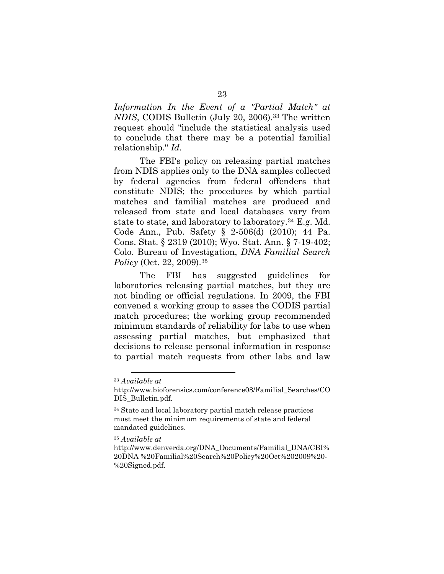*Information In the Event of a "Partial Match" at NDIS*, CODIS Bulletin (July 20, 2006).33 The written request should "include the statistical analysis used to conclude that there may be a potential familial relationship." *Id.*

The FBI's policy on releasing partial matches from NDIS applies only to the DNA samples collected by federal agencies from federal offenders that constitute NDIS; the procedures by which partial matches and familial matches are produced and released from state and local databases vary from state to state, and laboratory to laboratory.34 E.g. Md. Code Ann., Pub. Safety § 2-506(d) (2010); 44 Pa. Cons. Stat. § 2319 (2010); Wyo. Stat. Ann. § 7-19-402; Colo. Bureau of Investigation, *DNA Familial Search Policy* (Oct. 22, 2009).35

The FBI has suggested guidelines for laboratories releasing partial matches, but they are not binding or official regulations. In 2009, the FBI convened a working group to asses the CODIS partial match procedures; the working group recommended minimum standards of reliability for labs to use when assessing partial matches, but emphasized that decisions to release personal information in response to partial match requests from other labs and law

<sup>33</sup> *Available at*

http://www.bioforensics.com/conference08/Familial\_Searches/CO DIS\_Bulletin.pdf.

<sup>&</sup>lt;sup>34</sup> State and local laboratory partial match release practices must meet the minimum requirements of state and federal mandated guidelines.

<sup>35</sup> *Available at*

http://www.denverda.org/DNA\_Documents/Familial\_DNA/CBI% 20DNA %20Familial%20Search%20Policy%20Oct%202009%20- %20Signed.pdf.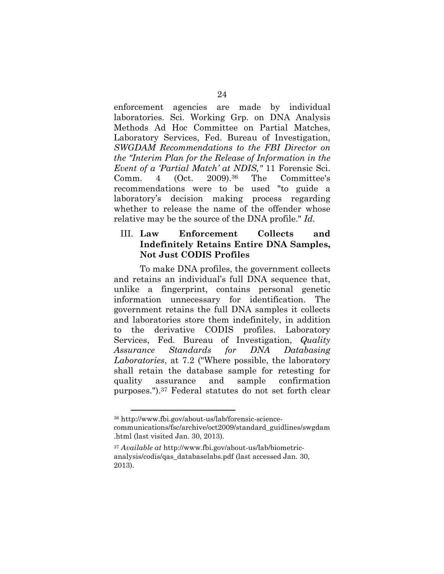enforcement agencies are made by individual laboratories. Sci. Working Grp. on DNA Analysis Methods Ad Hoc Committee on Partial Matches, Laboratory Services, Fed. Bureau of Investigation, *SWGDAM Recommendations to the FBI Director on the "Interim Plan for the Release of Information in the Event of a 'Partial Match' at NDIS,"* 11 Forensic Sci. Comm. 4 (Oct. 2009).36 The Committee's recommendations were to be used "to guide a laboratory's decision making process regarding whether to release the name of the offender whose relative may be the source of the DNA profile." *Id.*

#### III. **Law Enforcement Collects and Indefinitely Retains Entire DNA Samples, Not Just CODIS Profiles**

To make DNA profiles, the government collects and retains an individual's full DNA sequence that, unlike a fingerprint, contains personal genetic information unnecessary for identification. The government retains the full DNA samples it collects and laboratories store them indefinitely, in addition to the derivative CODIS profiles. Laboratory Services, Fed. Bureau of Investigation, *Quality Assurance Standards for DNA Databasing Laboratories*, at 7.2 ("Where possible, the laboratory shall retain the database sample for retesting for quality assurance and sample confirmation purposes.").37 Federal statutes do not set forth clear

<sup>36</sup> http://www.fbi.gov/about-us/lab/forensic-sciencecommunications/fsc/archive/oct2009/standard\_guidlines/swgdam .html (last visited Jan. 30, 2013).

<sup>37</sup> *Available at* http://www.fbi.gov/about-us/lab/biometricanalysis/codis/qas\_databaselabs.pdf (last accessed Jan. 30, 2013).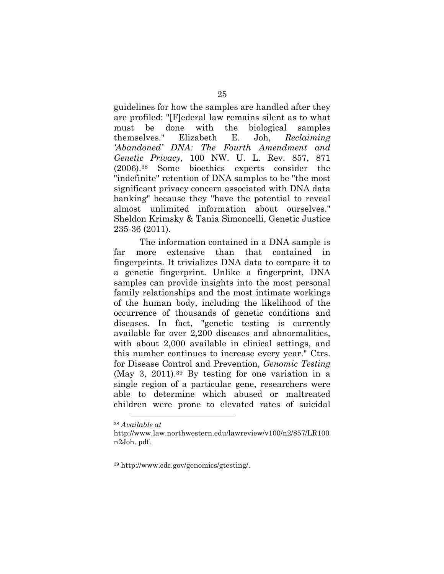guidelines for how the samples are handled after they are profiled: "[F]ederal law remains silent as to what must be done with the biological samples themselves." Elizabeth E. Joh, *Reclaiming 'Abandoned' DNA: The Fourth Amendment and Genetic Privacy,* 100 NW. U. L. Rev. 857, 871 (2006).38 Some bioethics experts consider the "indefinite" retention of DNA samples to be "the most significant privacy concern associated with DNA data banking" because they "have the potential to reveal almost unlimited information about ourselves." Sheldon Krimsky & Tania Simoncelli, Genetic Justice 235-36 (2011).

The information contained in a DNA sample is far more extensive than that contained in fingerprints. It trivializes DNA data to compare it to a genetic fingerprint. Unlike a fingerprint, DNA samples can provide insights into the most personal family relationships and the most intimate workings of the human body, including the likelihood of the occurrence of thousands of genetic conditions and diseases. In fact, "genetic testing is currently available for over 2,200 diseases and abnormalities, with about 2,000 available in clinical settings, and this number continues to increase every year." Ctrs. for Disease Control and Prevention, *Genomic Testing* (May 3, 2011).39 By testing for one variation in a single region of a particular gene, researchers were able to determine which abused or maltreated children were prone to elevated rates of suicidal

 $\overline{a}$ <sup>38</sup> *Available at*

http://www.law.northwestern.edu/lawreview/v100/n2/857/LR100 n2Joh. pdf.

<sup>39</sup> http://www.cdc.gov/genomics/gtesting/.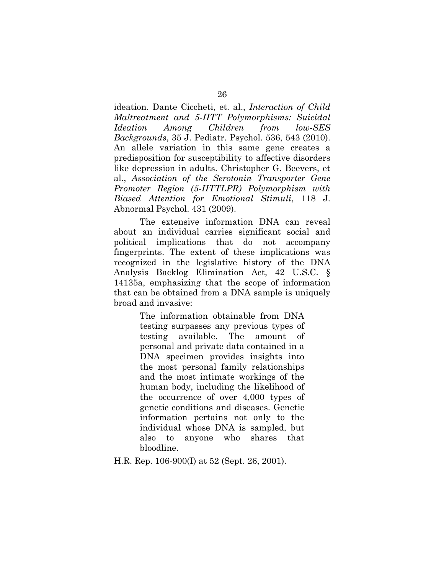ideation. Dante Ciccheti, et. al., *Interaction of Child Maltreatment and 5-HTT Polymorphisms: Suicidal Ideation Among Children from low-SES Backgrounds*, 35 J. Pediatr. Psychol. 536, 543 (2010). An allele variation in this same gene creates a predisposition for susceptibility to affective disorders like depression in adults. Christopher G. Beevers, et al., *Association of the Serotonin Transporter Gene Promoter Region (5-HTTLPR) Polymorphism with Biased Attention for Emotional Stimuli*, 118 J. Abnormal Psychol. 431 (2009).

The extensive information DNA can reveal about an individual carries significant social and political implications that do not accompany fingerprints. The extent of these implications was recognized in the legislative history of the DNA Analysis Backlog Elimination Act, 42 U.S.C. § 14135a, emphasizing that the scope of information that can be obtained from a DNA sample is uniquely broad and invasive:

> The information obtainable from DNA testing surpasses any previous types of testing available. The amount of personal and private data contained in a DNA specimen provides insights into the most personal family relationships and the most intimate workings of the human body, including the likelihood of the occurrence of over 4,000 types of genetic conditions and diseases. Genetic information pertains not only to the individual whose DNA is sampled, but also to anyone who shares that bloodline.

H.R. Rep. 106-900(I) at 52 (Sept. 26, 2001).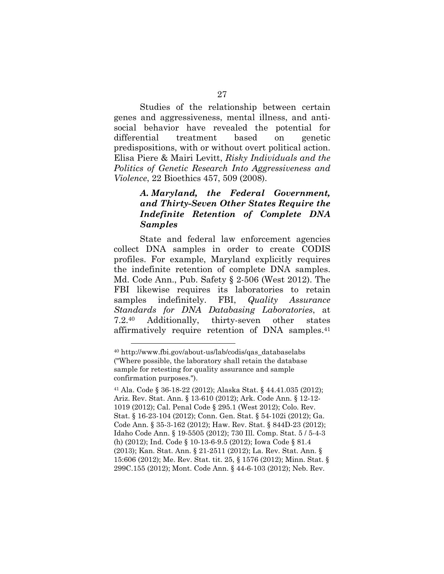Studies of the relationship between certain genes and aggressiveness, mental illness, and antisocial behavior have revealed the potential for differential treatment based on genetic predispositions, with or without overt political action. Elisa Piere & Mairi Levitt, *Risky Individuals and the Politics of Genetic Research Into Aggressiveness and Violence*, 22 Bioethics 457, 509 (2008).

#### *A. Maryland, the Federal Government, and Thirty-Seven Other States Require the Indefinite Retention of Complete DNA Samples*

State and federal law enforcement agencies collect DNA samples in order to create CODIS profiles. For example, Maryland explicitly requires the indefinite retention of complete DNA samples. Md. Code Ann., Pub. Safety § 2-506 (West 2012). The FBI likewise requires its laboratories to retain samples indefinitely. FBI, *Quality Assurance Standards for DNA Databasing Laboratories*, at 7.2.40 Additionally, thirty-seven other states affirmatively require retention of DNA samples.41

<sup>40</sup> http://www.fbi.gov/about-us/lab/codis/qas\_databaselabs ("Where possible, the laboratory shall retain the database sample for retesting for quality assurance and sample confirmation purposes.").

<sup>41</sup> Ala. Code § 36-18-22 (2012); Alaska Stat. § 44.41.035 (2012); Ariz. Rev. Stat. Ann. § 13-610 (2012); Ark. Code Ann. § 12-12- 1019 (2012); Cal. Penal Code § 295.1 (West 2012); Colo. Rev. Stat. § 16-23-104 (2012); Conn. Gen. Stat. § 54-102i (2012); Ga. Code Ann. § 35-3-162 (2012); Haw. Rev. Stat. § 844D-23 (2012); Idaho Code Ann. § 19-5505 (2012); 730 Ill. Comp. Stat. 5 / 5-4-3 (h) (2012); Ind. Code § 10-13-6-9.5 (2012); Iowa Code § 81.4 (2013); Kan. Stat. Ann. § 21-2511 (2012); La. Rev. Stat. Ann. § 15:606 (2012); Me. Rev. Stat. tit. 25, § 1576 (2012); Minn. Stat. § 299C.155 (2012); Mont. Code Ann. § 44-6-103 (2012); Neb. Rev.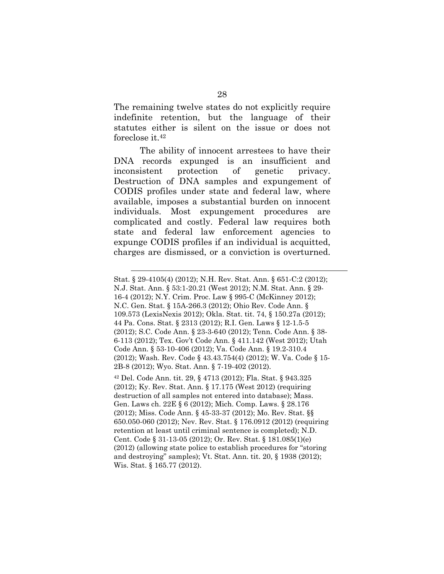The remaining twelve states do not explicitly require indefinite retention, but the language of their statutes either is silent on the issue or does not foreclose it.42

The ability of innocent arrestees to have their DNA records expunged is an insufficient and inconsistent protection of genetic privacy. Destruction of DNA samples and expungement of CODIS profiles under state and federal law, where available, imposes a substantial burden on innocent individuals. Most expungement procedures are complicated and costly. Federal law requires both state and federal law enforcement agencies to expunge CODIS profiles if an individual is acquitted, charges are dismissed, or a conviction is overturned.

<u>.</u>

Stat. § 29-4105(4) (2012); N.H. Rev. Stat. Ann. § 651-C:2 (2012); N.J. Stat. Ann. § 53:1-20.21 (West 2012); N.M. Stat. Ann. § 29- 16-4 (2012); N.Y. Crim. Proc. Law § 995-C (McKinney 2012); N.C. Gen. Stat. § 15A-266.3 (2012); Ohio Rev. Code Ann. § 109.573 (LexisNexis 2012); Okla. Stat. tit. 74, § 150.27a (2012); 44 Pa. Cons. Stat. § 2313 (2012); R.I. Gen. Laws § 12-1.5-5 (2012); S.C. Code Ann. § 23-3-640 (2012); Tenn. Code Ann. § 38- 6-113 (2012); Tex. Gov't Code Ann. § 411.142 (West 2012); Utah Code Ann. § 53-10-406 (2012); Va. Code Ann. § 19.2-310.4 (2012); Wash. Rev. Code § 43.43.754(4) (2012); W. Va. Code § 15- 2B-8 (2012); Wyo. Stat. Ann. § 7-19-402 (2012).

<sup>42</sup> Del. Code Ann. tit. 29, § 4713 (2012); Fla. Stat. § 943.325 (2012); Ky. Rev. Stat. Ann. § 17.175 (West 2012) (requiring destruction of all samples not entered into database); Mass. Gen. Laws ch. 22E § 6 (2012); Mich. Comp. Laws. § 28.176 (2012); Miss. Code Ann. § 45-33-37 (2012); Mo. Rev. Stat. §§ 650.050-060 (2012); Nev. Rev. Stat. § 176.0912 (2012) (requiring retention at least until criminal sentence is completed); N.D. Cent. Code § 31-13-05 (2012); Or. Rev. Stat. § 181.085(1)(e) (2012) (allowing state police to establish procedures for "storing and destroying" samples); Vt. Stat. Ann. tit. 20, § 1938 (2012); Wis. Stat. § 165.77 (2012).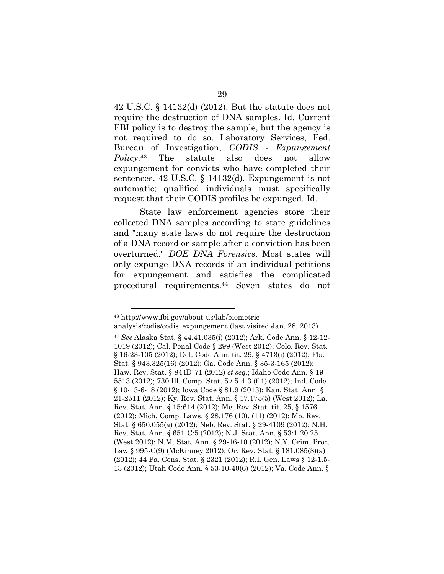42 U.S.C. § 14132(d) (2012). But the statute does not require the destruction of DNA samples. Id. Current FBI policy is to destroy the sample, but the agency is not required to do so. Laboratory Services, Fed. Bureau of Investigation, *CODIS - Expungement Policy*.43 The statute also does not allow expungement for convicts who have completed their sentences. 42 U.S.C. § 14132(d). Expungement is not automatic; qualified individuals must specifically request that their CODIS profiles be expunged. Id.

State law enforcement agencies store their collected DNA samples according to state guidelines and "many state laws do not require the destruction of a DNA record or sample after a conviction has been overturned." *DOE DNA Forensics*. Most states will only expunge DNA records if an individual petitions for expungement and satisfies the complicated procedural requirements.44 Seven states do not

<sup>43</sup> http://www.fbi.gov/about-us/lab/biometric-

analysis/codis/codis\_expungement (last visited Jan. 28, 2013)

<sup>44</sup> *See* Alaska Stat. § 44.41.035(i) (2012); Ark. Code Ann. § 12-12- 1019 (2012); Cal. Penal Code § 299 (West 2012); Colo. Rev. Stat. § 16-23-105 (2012); Del. Code Ann. tit. 29, § 4713(i) (2012); Fla. Stat. § 943.325(16) (2012); Ga. Code Ann. § 35-3-165 (2012); Haw. Rev. Stat. § 844D-71 (2012) *et seq.*; Idaho Code Ann. § 19- 5513 (2012); 730 Ill. Comp. Stat. 5 / 5-4-3 (f-1) (2012); Ind. Code § 10-13-6-18 (2012); Iowa Code § 81.9 (2013); Kan. Stat. Ann. § 21-2511 (2012); Ky. Rev. Stat. Ann. § 17.175(5) (West 2012); La. Rev. Stat. Ann. § 15:614 (2012); Me. Rev. Stat. tit. 25, § 1576 (2012); Mich. Comp. Laws. § 28.176 (10), (11) (2012); Mo. Rev. Stat. § 650.055(a) (2012); Neb. Rev. Stat. § 29-4109 (2012); N.H. Rev. Stat. Ann. § 651-C:5 (2012); N.J. Stat. Ann. § 53:1-20.25 (West 2012); N.M. Stat. Ann. § 29-16-10 (2012); N.Y. Crim. Proc. Law § 995-C(9) (McKinney 2012); Or. Rev. Stat. § 181.085(8)(a) (2012); 44 Pa. Cons. Stat. § 2321 (2012); R.I. Gen. Laws § 12-1.5- 13 (2012); Utah Code Ann. § 53-10-40(6) (2012); Va. Code Ann. §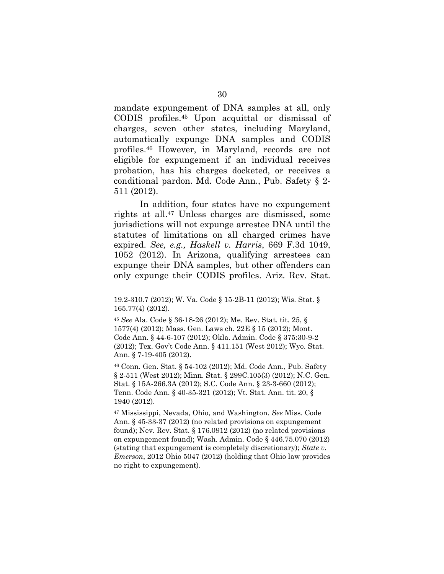mandate expungement of DNA samples at all, only CODIS profiles.45 Upon acquittal or dismissal of charges, seven other states, including Maryland, automatically expunge DNA samples and CODIS profiles.46 However, in Maryland, records are not eligible for expungement if an individual receives probation, has his charges docketed, or receives a conditional pardon. Md. Code Ann., Pub. Safety § 2- 511 (2012).

In addition, four states have no expungement rights at all.47 Unless charges are dismissed, some jurisdictions will not expunge arrestee DNA until the statutes of limitations on all charged crimes have expired. *See, e.g., Haskell v. Harris*, 669 F.3d 1049, 1052 (2012). In Arizona, qualifying arrestees can expunge their DNA samples, but other offenders can only expunge their CODIS profiles. Ariz. Rev. Stat.

<u>.</u>

46 Conn. Gen. Stat. § 54-102 (2012); Md. Code Ann., Pub. Safety § 2-511 (West 2012); Minn. Stat. § 299C.105(3) (2012); N.C. Gen. Stat. § 15A-266.3A (2012); S.C. Code Ann. § 23-3-660 (2012); Tenn. Code Ann. § 40-35-321 (2012); Vt. Stat. Ann. tit. 20, § 1940 (2012).

47 Mississippi, Nevada, Ohio, and Washington. *See* Miss. Code Ann. § 45-33-37 (2012) (no related provisions on expungement found); Nev. Rev. Stat. § 176.0912 (2012) (no related provisions on expungement found); Wash. Admin. Code § 446.75.070 (2012) (stating that expungement is completely discretionary); *State v. Emerson*, 2012 Ohio 5047 (2012) (holding that Ohio law provides no right to expungement).

<sup>19.2-310.7 (2012);</sup> W. Va. Code § 15-2B-11 (2012); Wis. Stat. § 165.77(4) (2012).

<sup>45</sup> *See* Ala. Code § 36-18-26 (2012); Me. Rev. Stat. tit. 25, § 1577(4) (2012); Mass. Gen. Laws ch. 22E § 15 (2012); Mont. Code Ann. § 44-6-107 (2012); Okla. Admin. Code § 375:30-9-2 (2012); Tex. Gov't Code Ann. § 411.151 (West 2012); Wyo. Stat. Ann. § 7-19-405 (2012).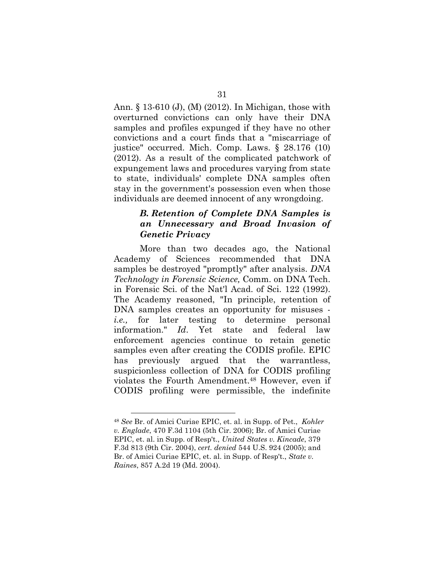Ann. § 13-610 (J), (M) (2012). In Michigan, those with overturned convictions can only have their DNA samples and profiles expunged if they have no other convictions and a court finds that a "miscarriage of justice" occurred. Mich. Comp. Laws. § 28.176 (10) (2012). As a result of the complicated patchwork of expungement laws and procedures varying from state to state, individuals' complete DNA samples often stay in the government's possession even when those individuals are deemed innocent of any wrongdoing.

## *B. Retention of Complete DNA Samples is an Unnecessary and Broad Invasion of Genetic Privacy*

More than two decades ago, the National Academy of Sciences recommended that DNA samples be destroyed "promptly" after analysis. *DNA Technology in Forensic Science,* Comm. on DNA Tech. in Forensic Sci. of the Nat'l Acad. of Sci. 122 (1992). The Academy reasoned, "In principle, retention of DNA samples creates an opportunity for misuses *i.e.,* for later testing to determine personal information." *Id*. Yet state and federal law enforcement agencies continue to retain genetic samples even after creating the CODIS profile. EPIC has previously argued that the warrantless, suspicionless collection of DNA for CODIS profiling violates the Fourth Amendment.48 However, even if CODIS profiling were permissible, the indefinite

<sup>48</sup> *See* Br. of Amici Curiae EPIC, et. al. in Supp. of Pet., *Kohler v. Englade*, 470 F.3d 1104 (5th Cir. 2006); Br. of Amici Curiae EPIC, et. al. in Supp. of Resp't., *United States v. Kincade*, 379 F.3d 813 (9th Cir. 2004), *cert. denied* 544 U.S. 924 (2005); and Br. of Amici Curiae EPIC, et. al. in Supp. of Resp't., *State v. Raines*, 857 A.2d 19 (Md. 2004).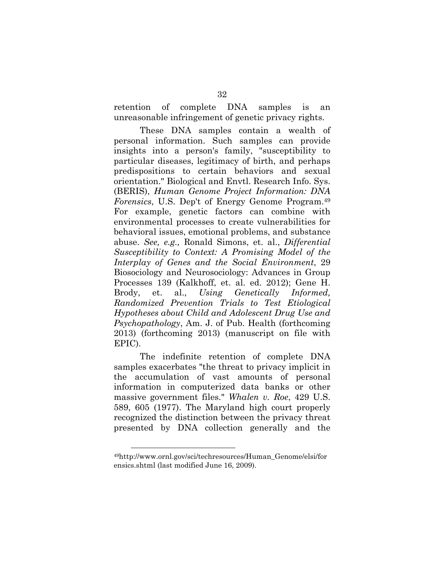retention of complete DNA samples is an unreasonable infringement of genetic privacy rights.

These DNA samples contain a wealth of personal information. Such samples can provide insights into a person's family, "susceptibility to particular diseases, legitimacy of birth, and perhaps predispositions to certain behaviors and sexual orientation." Biological and Envtl. Research Info. Sys. (BERIS), *Human Genome Project Information: DNA Forensics*, U.S. Dep't of Energy Genome Program.49 For example, genetic factors can combine with environmental processes to create vulnerabilities for behavioral issues, emotional problems, and substance abuse. *See, e.g.,* Ronald Simons, et. al., *Differential Susceptibility to Context: A Promising Model of the Interplay of Genes and the Social Environment*, 29 Biosociology and Neurosociology: Advances in Group Processes 139 (Kalkhoff, et. al. ed. 2012); Gene H. Brody, et. al., *Using Genetically Informed, Randomized Prevention Trials to Test Etiological Hypotheses about Child and Adolescent Drug Use and Psychopathology*, Am. J. of Pub. Health (forthcoming 2013) (forthcoming 2013) (manuscript on file with EPIC).

The indefinite retention of complete DNA samples exacerbates "the threat to privacy implicit in the accumulation of vast amounts of personal information in computerized data banks or other massive government files." *Whalen v. Roe*, 429 U.S. 589, 605 (1977). The Maryland high court properly recognized the distinction between the privacy threat presented by DNA collection generally and the

<sup>49</sup>http://www.ornl.gov/sci/techresources/Human\_Genome/elsi/for ensics.shtml (last modified June 16, 2009).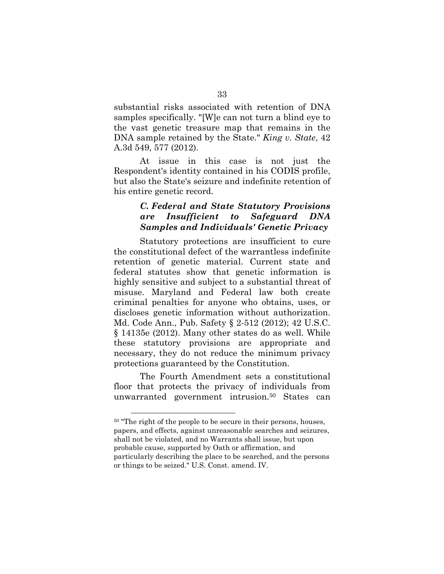substantial risks associated with retention of DNA samples specifically. "[W]e can not turn a blind eye to the vast genetic treasure map that remains in the DNA sample retained by the State." *King v. State*, 42 A.3d 549, 577 (2012).

At issue in this case is not just the Respondent's identity contained in his CODIS profile, but also the State's seizure and indefinite retention of his entire genetic record.

#### *C. Federal and State Statutory Provisions are Insufficient to Safeguard DNA Samples and Individuals' Genetic Privacy*

Statutory protections are insufficient to cure the constitutional defect of the warrantless indefinite retention of genetic material. Current state and federal statutes show that genetic information is highly sensitive and subject to a substantial threat of misuse. Maryland and Federal law both create criminal penalties for anyone who obtains, uses, or discloses genetic information without authorization. Md. Code Ann., Pub. Safety § 2-512 (2012); 42 U.S.C. § 14135e (2012). Many other states do as well. While these statutory provisions are appropriate and necessary, they do not reduce the minimum privacy protections guaranteed by the Constitution.

The Fourth Amendment sets a constitutional floor that protects the privacy of individuals from unwarranted government intrusion.50 States can

<sup>50 &</sup>quot;The right of the people to be secure in their persons, houses, papers, and effects, against unreasonable searches and seizures, shall not be violated, and no Warrants shall issue, but upon probable cause, supported by Oath or affirmation, and particularly describing the place to be searched, and the persons or things to be seized." U.S. Const. amend. IV.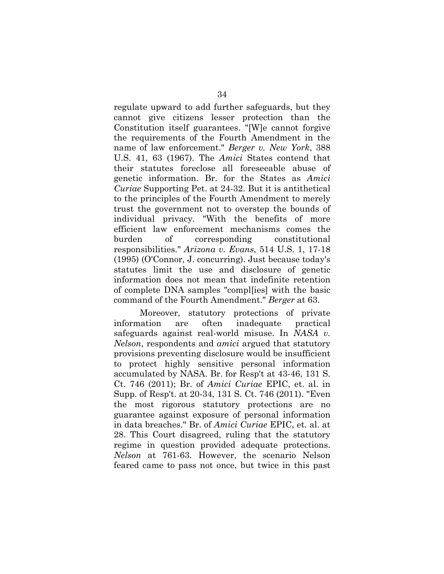regulate upward to add further safeguards, but they cannot give citizens lesser protection than the Constitution itself guarantees. "[W]e cannot forgive the requirements of the Fourth Amendment in the name of law enforcement." *Berger v. New York*, 388 U.S. 41, 63 (1967). The *Amici* States contend that their statutes foreclose all foreseeable abuse of genetic information. Br. for the States as *Amici Curiae* Supporting Pet. at 24-32. But it is antithetical to the principles of the Fourth Amendment to merely trust the government not to overstep the bounds of individual privacy. "With the benefits of more efficient law enforcement mechanisms comes the burden of corresponding constitutional responsibilities." *Arizona v. Evans*, 514 U.S. 1, 17-18 (1995) (O'Connor, J. concurring). Just because today's statutes limit the use and disclosure of genetic information does not mean that indefinite retention of complete DNA samples "compl[ies] with the basic command of the Fourth Amendment." *Berger* at 63.

Moreover, statutory protections of private information are often inadequate practical safeguards against real-world misuse. In *NASA v. Nelson*, respondents and *amici* argued that statutory provisions preventing disclosure would be insufficient to protect highly sensitive personal information accumulated by NASA. Br. for Resp't at 43-46, 131 S. Ct. 746 (2011); Br. of *Amici Curiae* EPIC, et. al. in Supp. of Resp't. at 20-34, 131 S. Ct. 746 (2011). "Even the most rigorous statutory protections are no guarantee against exposure of personal information in data breaches." Br. of *Amici Curiae* EPIC, et. al. at 28. This Court disagreed, ruling that the statutory regime in question provided adequate protections. *Nelson* at 761-63. However, the scenario Nelson feared came to pass not once, but twice in this past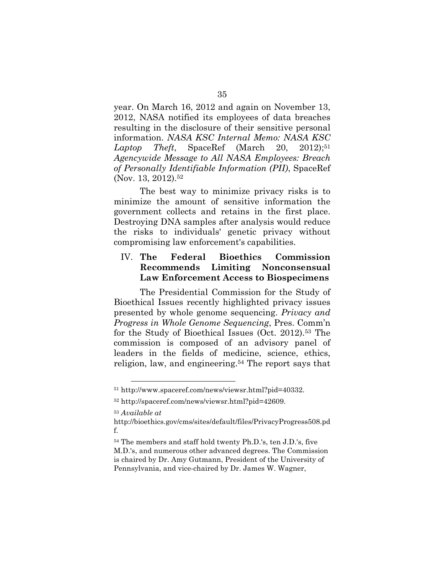year. On March 16, 2012 and again on November 13, 2012, NASA notified its employees of data breaches resulting in the disclosure of their sensitive personal information. *NASA KSC Internal Memo: NASA KSC*  Laptop Theft, SpaceRef (March 20, 2012);<sup>51</sup> *Agencywide Message to All NASA Employees: Breach of Personally Identifiable Information (PII)*, SpaceRef (Nov. 13, 2012).<sup>52</sup>

The best way to minimize privacy risks is to minimize the amount of sensitive information the government collects and retains in the first place. Destroying DNA samples after analysis would reduce the risks to individuals' genetic privacy without compromising law enforcement's capabilities.

## IV. **The Federal Bioethics Commission Recommends Limiting Nonconsensual Law Enforcement Access to Biospecimens**

The Presidential Commission for the Study of Bioethical Issues recently highlighted privacy issues presented by whole genome sequencing. *Privacy and Progress in Whole Genome Sequencing*, Pres. Comm'n for the Study of Bioethical Issues (Oct. 2012).53 The commission is composed of an advisory panel of leaders in the fields of medicine, science, ethics, religion, law, and engineering.54 The report says that

<sup>51</sup> http://www.spaceref.com/news/viewsr.html?pid=40332.

<sup>52</sup> http://spaceref.com/news/viewsr.html?pid=42609.

<sup>53</sup> *Available at* 

http://bioethics.gov/cms/sites/default/files/PrivacyProgress508.pd f.

<sup>54</sup> The members and staff hold twenty Ph.D.'s, ten J.D.'s, five M.D.'s, and numerous other advanced degrees. The Commission is chaired by Dr. Amy Gutmann, President of the University of Pennsylvania, and vice-chaired by Dr. James W. Wagner,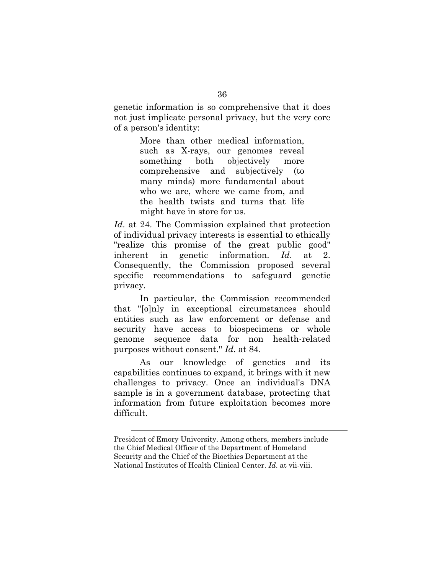genetic information is so comprehensive that it does not just implicate personal privacy, but the very core of a person's identity:

> More than other medical information, such as X-rays, our genomes reveal something both objectively more comprehensive and subjectively (to many minds) more fundamental about who we are, where we came from, and the health twists and turns that life might have in store for us.

*Id*. at 24. The Commission explained that protection of individual privacy interests is essential to ethically "realize this promise of the great public good" inherent in genetic information. *Id*. at 2. Consequently, the Commission proposed several specific recommendations to safeguard genetic privacy.

In particular, the Commission recommended that "[o]nly in exceptional circumstances should entities such as law enforcement or defense and security have access to biospecimens or whole genome sequence data for non health-related purposes without consent." *Id*. at 84.

As our knowledge of genetics and its capabilities continues to expand, it brings with it new challenges to privacy. Once an individual's DNA sample is in a government database, protecting that information from future exploitation becomes more difficult.

1

President of Emory University. Among others, members include the Chief Medical Officer of the Department of Homeland Security and the Chief of the Bioethics Department at the National Institutes of Health Clinical Center. *Id*. at vii-viii.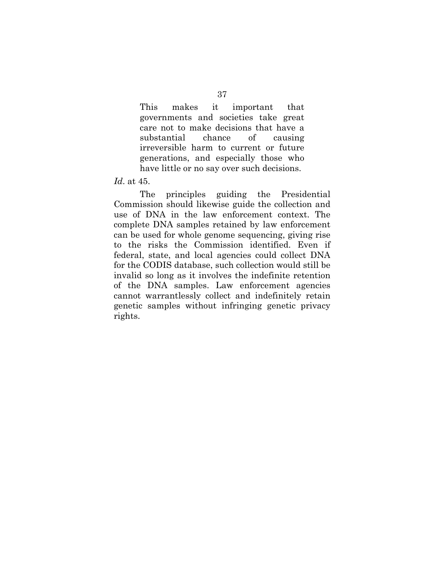This makes it important that governments and societies take great care not to make decisions that have a substantial chance of causing irreversible harm to current or future generations, and especially those who have little or no say over such decisions.

*Id*. at 45.

The principles guiding the Presidential Commission should likewise guide the collection and use of DNA in the law enforcement context. The complete DNA samples retained by law enforcement can be used for whole genome sequencing, giving rise to the risks the Commission identified. Even if federal, state, and local agencies could collect DNA for the CODIS database, such collection would still be invalid so long as it involves the indefinite retention of the DNA samples. Law enforcement agencies cannot warrantlessly collect and indefinitely retain genetic samples without infringing genetic privacy rights.